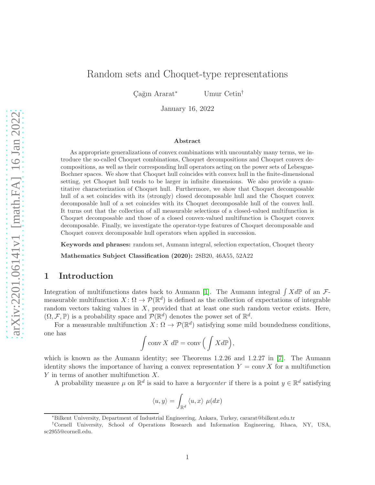# Random sets and Choquet-type representations

Cağın Ararat<sup>∗</sup> Umur Cetin<sup>†</sup>

January 16, 2022

#### Abstract

As appropriate generalizations of convex combinations with uncountably many terms, we introduce the so-called Choquet combinations, Choquet decompositions and Choquet convex decompositions, as well as their corresponding hull operators acting on the power sets of Lebesgue-Bochner spaces. We show that Choquet hull coincides with convex hull in the finite-dimensional setting, yet Choquet hull tends to be larger in infinite dimensions. We also provide a quantitative characterization of Choquet hull. Furthermore, we show that Choquet decomposable hull of a set coincides with its (strongly) closed decomposable hull and the Choquet convex decomposable hull of a set coincides with its Choquet decomposable hull of the convex hull. It turns out that the collection of all measurable selections of a closed-valued multifunction is Choquet decomposable and those of a closed convex-valued multifunction is Choquet convex decomposable. Finally, we investigate the operator-type features of Choquet decomposable and Choquet convex decomposable hull operators when applied in succession.

Keywords and phrases: random set, Aumann integral, selection expectation, Choquet theory

Mathematics Subject Classification (2020): 28B20, 46A55, 52A22

### 1 Introduction

Integration of multifunctions dates back to Aumann [\[1\]](#page-34-0). The Aumann integral  $\int X dP$  of an  $\mathcal{F}$ measurable multifunction  $X: \Omega \to \mathcal{P}(\mathbb{R}^d)$  is defined as the collection of expectations of integrable random vectors taking values in  $X$ , provided that at least one such random vector exists. Here,  $(\Omega, \mathcal{F}, \mathbb{P})$  is a probability space and  $\mathcal{P}(\mathbb{R}^d)$  denotes the power set of  $\mathbb{R}^d$ .

For a measurable multifunction  $X: \Omega \to \mathcal{P}(\mathbb{R}^d)$  satisfying some mild boundedness conditions, one has

$$
\int \operatorname{conv} X \, d\mathbb{P} = \operatorname{conv} \Big( \int X d\mathbb{P} \Big),
$$

which is known as the Aumann identity; see Theorems 1.2.26 and 1.2.27 in [\[7\]](#page-34-1). The Aumann identity shows the importance of having a convex representation  $Y = \text{conv } X$  for a multifunction Y in terms of another multifunction X.

A probability measure  $\mu$  on  $\mathbb{R}^d$  is said to have a *barycenter* if there is a point  $y \in \mathbb{R}^d$  satisfying

$$
\langle u,y\rangle=\int_{\mathbb{R}^d}\langle u,x\rangle\ \mu(dx)
$$

<sup>∗</sup>Bilkent University, Department of Industrial Engineering, Ankara, Turkey, cararat@bilkent.edu.tr

<sup>†</sup>Cornell University, School of Operations Research and Information Engineering, Ithaca, NY, USA, sc2955@cornell.edu.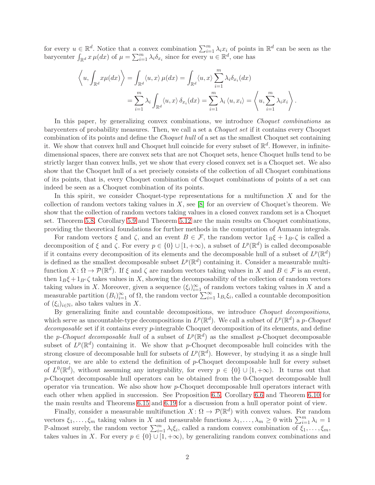for every  $u \in \mathbb{R}^d$ . Notice that a convex combination  $\sum_{i=1}^m \lambda_i x_i$  of points in  $\mathbb{R}^d$  can be seen as the barycenter  $\int_{\mathbb{R}^d} x \mu(dx)$  of  $\mu = \sum_{i=1}^m \lambda_i \delta_{x_i}$  since for every  $u \in \mathbb{R}^d$ , one has

$$
\left\langle u, \int_{\mathbb{R}^d} x \mu(dx) \right\rangle = \int_{\mathbb{R}^d} \langle u, x \rangle \mu(dx) = \int_{\mathbb{R}^d} \langle u, x \rangle \sum_{i=1}^m \lambda_i \delta_{x_i}(dx)
$$

$$
= \sum_{i=1}^m \lambda_i \int_{\mathbb{R}^d} \langle u, x \rangle \delta_{x_i}(dx) = \sum_{i=1}^m \lambda_i \langle u, x_i \rangle = \left\langle u, \sum_{i=1}^m \lambda_i x_i \right\rangle.
$$

In this paper, by generalizing convex combinations, we introduce *Choquet combinations* as barycenters of probability measures. Then, we call a set a Choquet set if it contains every Choquet combination of its points and define the Choquet hull of a set as the smallest Choquet set containing it. We show that convex hull and Choquet hull coincide for every subset of  $\mathbb{R}^d$ . However, in infinitedimensional spaces, there are convex sets that are not Choquet sets, hence Choquet hulls tend to be strictly larger than convex hulls, yet we show that every closed convex set is a Choquet set. We also show that the Choquet hull of a set precisely consists of the collection of all Choquet combinations of its points, that is, every Choquet combination of Choquet combinations of points of a set can indeed be seen as a Choquet combination of its points.

In this spirit, we consider Choquet-type representations for a multifunction  $X$  and for the collection of random vectors taking values in  $X$ , see [\[8\]](#page-34-2) for an overview of Choquet's theorem. We show that the collection of random vectors taking values in a closed convex random set is a Choquet set. Theorem [5.8,](#page-16-0) Corollary [5.9](#page-16-1) and Theorem [5.12](#page-17-0) are the main results on Choquet combinations, providing the theoretical foundations for further methods in the computation of Aumann integrals.

For random vectors  $\xi$  and  $\zeta$ , and an event  $B \in \mathcal{F}$ , the random vector  $1_B \xi + 1_{B^c} \zeta$  is called a decomposition of  $\xi$  and  $\zeta$ . For every  $p \in \{0\} \cup [1, +\infty)$ , a subset of  $L^p(\mathbb{R}^d)$  is called decomposable if it contains every decomposition of its elements and the decomposable hull of a subset of  $L^p(\mathbb{R}^d)$ is defined as the smallest decomposable subset  $L^p(\mathbb{R}^d)$  containing it. Consider a measurable multifunction  $X: \Omega \to \mathcal{P}(\mathbb{R}^d)$ . If  $\xi$  and  $\zeta$  are random vectors taking values in X and  $B \in \mathcal{F}$  is an event, then  $1_B\xi + 1_{B}c\zeta$  takes values in X, showing the decomposability of the collection of random vectors taking values in X. Moreover, given a sequence  $(\xi_i)_{i=1}^{\infty}$  of random vectors taking values in X and a measurable partition  $(B_i)_{i=1}^{\infty}$  of  $\Omega$ , the random vector  $\sum_{i=1}^{\infty} 1_{B_i} \xi_i$ , called a countable decomposition of  $(\xi_i)_{i\in\mathbb{N}}$ , also takes values in X.

By generalizing finite and countable decompositions, we introduce Choquet decompositions, which serve as uncountable-type decompositions in  $L^p(\mathbb{R}^d)$ . We call a subset of  $L^p(\mathbb{R}^d)$  a p-Choquet decomposable set if it contains every p-integrable Choquet decomposition of its elements, and define the *p*-Choquet decomposable hull of a subset of  $L^p(\mathbb{R}^d)$  as the smallest *p*-Choquet decomposable subset of  $L^p(\mathbb{R}^d)$  containing it. We show that p-Choquet decomposable hull coincides with the strong closure of decomposable hull for subsets of  $L^p(\mathbb{R}^d)$ . However, by studying it as a single hull operator, we are able to extend the definition of  $p$ -Choquet decomposable hull for every subset of  $L^0(\mathbb{R}^d)$ , without assuming any integrability, for every  $p \in \{0\} \cup [1, +\infty)$ . It turns out that p-Choquet decomposable hull operators can be obtained from the 0-Choquet decomposable hull operator via truncation. We also show how  $p$ -Choquet decomposable hull operators interact with each other when applied in succession. See Proposition [6.5,](#page-20-0) Corollary [6.6](#page-20-1) and Theorem [6.10](#page-21-0) for the main results and Theorems [6.15](#page-22-0) and [6.19](#page-24-0) for a discussion from a hull operator point of view.

Finally, consider a measurable multifunction  $X: \Omega \to \mathcal{P}(\mathbb{R}^d)$  with convex values. For random vectors  $\xi_1,\ldots,\xi_m$  taking values in X and measurable functions  $\lambda_1,\ldots,\lambda_m\geq 0$  with  $\sum_{i=1}^m\lambda_i=1$ P-almost surely, the random vector  $\sum_{i=1}^{m} \lambda_i \xi_i$ , called a random convex combination of  $\xi_1, \ldots, \xi_m$ , takes values in X. For every  $p \in \{0\} \cup [1, +\infty)$ , by generalizing random convex combinations and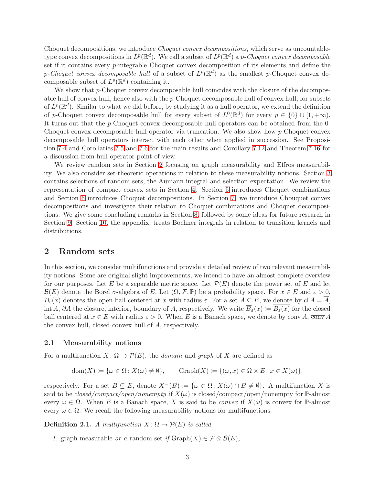Choquet decompositions, we introduce Choquet convex decompositions, which serve as uncountabletype convex decompositions in  $L^p(\mathbb{R}^d)$ . We call a subset of  $L^p(\mathbb{R}^d)$  a p-Choquet convex decomposable set if it contains every  $p$ -integrable Choquet convex decomposition of its elements and define the p-Choquet convex decomposable hull of a subset of  $L^p(\mathbb{R}^d)$  as the smallest p-Choquet convex decomposable subset of  $L^p(\mathbb{R}^d)$  containing it.

We show that  $p$ -Choquet convex decomposable hull coincides with the closure of the decomposable hull of convex hull, hence also with the p-Choquet decomposable hull of convex hull, for subsets of  $L^p(\mathbb{R}^d)$ . Similar to what we did before, by studying it as a hull operator, we extend the definition of p-Choquet convex decomposable hull for every subset of  $L^0(\mathbb{R}^d)$  for every  $p \in \{0\} \cup [1, +\infty)$ . It turns out that the p-Choquet convex decomposable hull operators can be obtained from the 0- Choquet convex decomposable hull operator via truncation. We also show how p-Choquet convex decomposable hull operators interact with each other when applied in succession. See Proposition [7.4](#page-26-0) and Corollaries [7.5](#page-26-1) and [7.6](#page-26-2) for the main results and Corollary [7.12](#page-28-0) and Theorem [7.16](#page-29-0) for a discussion from hull operator point of view.

We review random sets in Section [2](#page-2-0) focusing on graph measurability and Effros measurability. We also consider set-theoretic operations in relation to these measurability notions. Section [3](#page-6-0) contains selections of random sets, the Aumann integral and selection expectation. We review the representation of compact convex sets in Section [4.](#page-12-0) Section [5](#page-14-0) introduces Choquet combinations and Section [6](#page-19-0) introduces Choquet decompositions. In Section [7,](#page-25-0) we introduce Chouquet convex decompositions and investigate their relation to Choquet combinations and Choquet decompositions. We give some concluding remarks in Section [8,](#page-30-0) followed by some ideas for future research in Section [9.](#page-30-1) Section [10,](#page-32-0) the appendix, treats Bochner integrals in relation to transition kernels and distributions.

### <span id="page-2-0"></span>2 Random sets

In this section, we consider multifunctions and provide a detailed review of two relevant measurability notions. Some are original slight improvements, we intend to have an almost complete overview for our purposes. Let E be a separable metric space. Let  $\mathcal{P}(E)$  denote the power set of E and let  $\mathcal{B}(E)$  denote the Borel  $\sigma$ -algebra of E. Let  $(\Omega, \mathcal{F}, \mathbb{P})$  be a probability space. For  $x \in E$  and  $\varepsilon > 0$ ,  $B_{\varepsilon}(x)$  denotes the open ball centered at x with radius  $\varepsilon$ . For a set  $A \subseteq E$ , we denote by cl  $A = \overline{A}$ , int A, ∂A the closure, interior, boundary of A, respectively. We write  $\overline{B}_{\varepsilon}(x) := \overline{B_{\varepsilon}(x)}$  for the closed ball centered at  $x \in E$  with radius  $\varepsilon > 0$ . When E is a Banach space, we denote by conv A,  $\overline{conv} A$ the convex hull, closed convex hull of A, respectively.

### 2.1 Measurability notions

For a multifunction  $X: \Omega \to \mathcal{P}(E)$ , the *domain* and *graph* of X are defined as

$$
dom(X) := \{ \omega \in \Omega \colon X(\omega) \neq \emptyset \}, \qquad Graph(X) := \{ (\omega, x) \in \Omega \times E \colon x \in X(\omega) \},
$$

respectively. For a set  $B \subseteq E$ , denote  $X^{-}(B) := \{\omega \in \Omega \colon X(\omega) \cap B \neq \emptyset\}$ . A multifunction X is said to be closed/compact/open/nonempty if  $X(\omega)$  is closed/compact/open/nonempty for P-almost every  $\omega \in \Omega$ . When E is a Banach space, X is said to be *convex* if  $X(\omega)$  is convex for P-almost every  $\omega \in \Omega$ . We recall the following measurability notions for multifunctions:

**Definition 2.1.** A multifunction  $X: \Omega \to \mathcal{P}(E)$  is called

1. graph measurable or a random set if  $Graph(X) \in \mathcal{F} \otimes \mathcal{B}(E)$ ,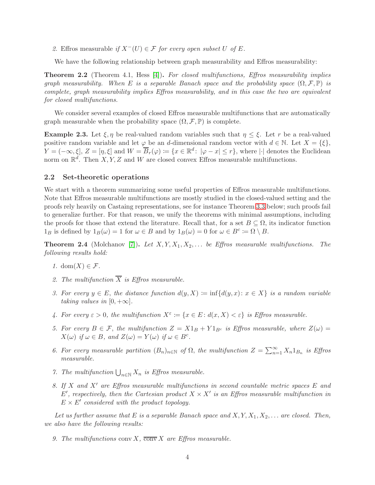2. Effros measurable if  $X^{-}(U) \in \mathcal{F}$  for every open subset U of E.

We have the following relationship between graph measurability and Effros measurability:

**Theorem 2.2** (Theorem 4.1, Hess [\[4\]](#page-34-3)). For closed multifunctions, Effros measurability implies graph measurability. When E is a separable Banach space and the probability space  $(\Omega, \mathcal{F}, \mathbb{P})$  is complete, graph measurability implies Effros measurability, and in this case the two are equivalent for closed multifunctions.

We consider several examples of closed Effros measurable multifunctions that are automatically graph measurable when the probability space  $(\Omega, \mathcal{F}, \mathbb{P})$  is complete.

<span id="page-3-0"></span>**Example 2.3.** Let  $\xi, \eta$  be real-valued random variables such that  $\eta \leq \xi$ . Let r be a real-valued positive random variable and let  $\varphi$  be an d-dimensional random vector with  $d \in \mathbb{N}$ . Let  $X = \{\xi\},\$  $Y = (-\infty, \xi], Z = [\eta, \xi]$  and  $W = \overline{B}_r(\varphi) \coloneqq \{x \in \mathbb{R}^d : |\varphi - x| \le r\},\,$  where  $|\cdot|$  denotes the Euclidean norm on  $\mathbb{R}^d$ . Then X, Y, Z and W are closed convex Effros measurable multifunctions.

#### 2.2 Set-theoretic operations

We start with a theorem summarizing some useful properties of Effros measurable multifunctions. Note that Effros measurable multifunctions are mostly studied in the closed-valued setting and the proofs rely heavily on Castaing representations, see for instance Theorem [3.3](#page-7-0) below; such proofs fail to generalize further. For that reason, we unify the theorems with minimal assumptions, including the proofs for those that extend the literature. Recall that, for a set  $B \subseteq \Omega$ , its indicator function  $1_B$  is defined by  $1_B(\omega) = 1$  for  $\omega \in B$  and by  $1_B(\omega) = 0$  for  $\omega \in B^c := \Omega \setminus B$ .

**Theorem 2.4** (Molchanov [\[7\]](#page-34-1)). Let  $X, Y, X_1, X_2, \ldots$  be Effros measurable multifunctions. The following results hold:

- 1. dom $(X) \in \mathcal{F}$ .
- 2. The multifunction  $\overline{X}$  is Effros measurable.
- 3. For every  $y \in E$ , the distance function  $d(y, X) := \inf \{d(y, x) : x \in X\}$  is a random variable taking values in  $[0, +\infty]$ .
- 4. For every  $\varepsilon > 0$ , the multifunction  $X^{\varepsilon} := \{x \in E : d(x, X) < \varepsilon\}$  is Effros measurable.
- 5. For every  $B \in \mathcal{F}$ , the multifunction  $Z = X1_B + Y1_{B^c}$  is Effros measurable, where  $Z(\omega) =$  $X(\omega)$  if  $\omega \in B$ , and  $Z(\omega) = Y(\omega)$  if  $\omega \in B^c$ .
- 6. For every measurable partition  $(B_n)_{n\in\mathbb{N}}$  of  $\Omega$ , the multifunction  $Z = \sum_{n=1}^{\infty} X_n 1_{B_n}$  is Effros measurable.
- 7. The multifunction  $\bigcup_{n\in\mathbb{N}} X_n$  is Effros measurable.
- 8. If X and X′ are Effros measurable multifunctions in second countable metric spaces E and E', respectively, then the Cartesian product  $X \times X'$  is an Effros measurable multifunction in  $E \times E'$  considered with the product topology.

Let us further assume that E is a separable Banach space and  $X, Y, X_1, X_2, \ldots$  are closed. Then, we also have the following results:

9. The multifunctions conv X,  $\overline{conv} X$  are Effros measurable.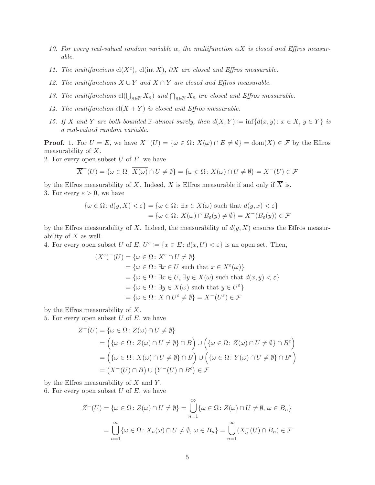- 10. For every real-valued random variable  $\alpha$ , the multifunction  $\alpha X$  is closed and Effros measurable.
- 11. The multifuncions  $cl(X<sup>c</sup>)$ ,  $cl(int X)$ ,  $\partial X$  are closed and Effros measurable.
- 12. The multifunctions  $X \cup Y$  and  $X \cap Y$  are closed and Effros measurable.
- 13. The multifunctions  $cl(\bigcup_{n\in\mathbb{N}} X_n)$  and  $\bigcap_{n\in\mathbb{N}} X_n$  are closed and Effros measurable.
- 14. The multifunction  $cl(X + Y)$  is closed and Effros measurable.
- 15. If X and Y are both bounded  $\mathbb{P}\text{-almost surely, then } d(X,Y) := \inf \{d(x,y): x \in X, y \in Y\}$  is a real-valued random variable.

**Proof.** 1. For  $U = E$ , we have  $X^{-}(U) = \{ \omega \in \Omega : X(\omega) \cap E \neq \emptyset \} = \text{dom}(X) \in \mathcal{F}$  by the Effros measurability of X.

2. For every open subset  $U$  of  $E$ , we have

$$
\overline{X}^-(U) = \{ \omega \in \Omega \colon \overline{X(\omega)} \cap U \neq \emptyset \} = \{ \omega \in \Omega \colon X(\omega) \cap U \neq \emptyset \} = X^-(U) \in \mathcal{F}
$$

by the Effros measurability of X. Indeed, X is Effros measurable if and only if  $\overline{X}$  is. 3. For every  $\varepsilon > 0$ , we have

$$
\{\omega \in \Omega \colon d(y, X) < \varepsilon\} = \{\omega \in \Omega \colon \exists x \in X(\omega) \text{ such that } d(y, x) < \varepsilon\}
$$
\n
$$
= \{\omega \in \Omega \colon X(\omega) \cap B_{\varepsilon}(y) \neq \emptyset\} = X^-(B_{\varepsilon}(y)) \in \mathcal{F}
$$

by the Effros measurability of X. Indeed, the measurability of  $d(y, X)$  ensures the Effros measurability of  $X$  as well.

4. For every open subset U of  $E, U^{\varepsilon} := \{x \in E : d(x, U) < \varepsilon\}$  is an open set. Then,

$$
(X^{\varepsilon})^{-}(U) = \{ \omega \in \Omega \colon X^{\varepsilon} \cap U \neq \emptyset \}
$$
  
\n
$$
= \{ \omega \in \Omega \colon \exists x \in U \text{ such that } x \in X^{\varepsilon}(\omega) \}
$$
  
\n
$$
= \{ \omega \in \Omega \colon \exists x \in U, \exists y \in X(\omega) \text{ such that } d(x, y) < \varepsilon \}
$$
  
\n
$$
= \{ \omega \in \Omega \colon \exists y \in X(\omega) \text{ such that } y \in U^{\varepsilon} \}
$$
  
\n
$$
= \{ \omega \in \Omega \colon X \cap U^{\varepsilon} \neq \emptyset \} = X^{-}(U^{\varepsilon}) \in \mathcal{F}
$$

by the Effros measurability of  $X$ .

5. For every open subset  $U$  of  $E$ , we have

$$
Z^-(U) = \{ \omega \in \Omega \colon Z(\omega) \cap U \neq \emptyset \}
$$
  
= 
$$
\left( \{ \omega \in \Omega \colon Z(\omega) \cap U \neq \emptyset \} \cap B \right) \cup \left( \{ \omega \in \Omega \colon Z(\omega) \cap U \neq \emptyset \} \cap B^c \right)
$$
  
= 
$$
\left( \{ \omega \in \Omega \colon X(\omega) \cap U \neq \emptyset \} \cap B \right) \cup \left( \{ \omega \in \Omega \colon Y(\omega) \cap U \neq \emptyset \} \cap B^c \right)
$$
  
= 
$$
(X^-(U) \cap B) \cup (Y^-(U) \cap B^c) \in \mathcal{F}
$$

by the Effros measurability of  $X$  and  $Y$ . 6. For every open subset  $U$  of  $E$ , we have

$$
Z^{-}(U) = \{ \omega \in \Omega \colon Z(\omega) \cap U \neq \emptyset \} = \bigcup_{n=1}^{\infty} \{ \omega \in \Omega \colon Z(\omega) \cap U \neq \emptyset, \omega \in B_n \}
$$

$$
= \bigcup_{n=1}^{\infty} \{ \omega \in \Omega \colon X_n(\omega) \cap U \neq \emptyset, \omega \in B_n \} = \bigcup_{n=1}^{\infty} (X_n^{-}(U) \cap B_n) \in \mathcal{F}
$$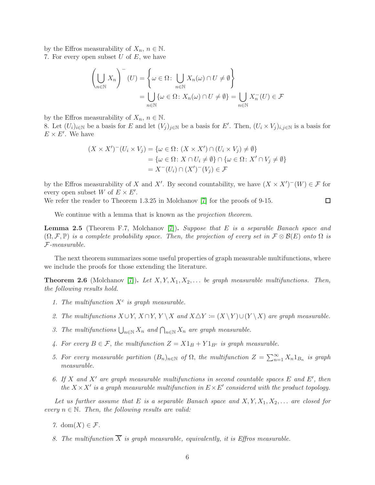by the Effros measurability of  $X_n$ ,  $n \in \mathbb{N}$ . 7. For every open subset  $U$  of  $E$ , we have

$$
\left(\bigcup_{n\in\mathbb{N}} X_n\right)^{-}(U) = \left\{\omega \in \Omega: \bigcup_{n\in\mathbb{N}} X_n(\omega) \cap U \neq \emptyset\right\}
$$

$$
= \bigcup_{n\in\mathbb{N}} \{\omega \in \Omega: X_n(\omega) \cap U \neq \emptyset\} = \bigcup_{n\in\mathbb{N}} X_n^{-}(U) \in \mathcal{F}
$$

by the Effros measurability of  $X_n$ ,  $n \in \mathbb{N}$ .

8. Let  $(U_i)_{i\in\mathbb{N}}$  be a basis for E and let  $(V_j)_{j\in\mathbb{N}}$  be a basis for E'. Then,  $(U_i \times V_j)_{i,j\in\mathbb{N}}$  is a basis for  $E \times E'$ . We have

$$
(X \times X')^{-}(U_i \times V_j) = \{ \omega \in \Omega \colon (X \times X') \cap (U_i \times V_j) \neq \emptyset \}
$$
  
=  $\{ \omega \in \Omega \colon X \cap U_i \neq \emptyset \} \cap \{ \omega \in \Omega \colon X' \cap V_j \neq \emptyset \}$   
=  $X^{-}(U_i) \cap (X')^{-}(V_j) \in \mathcal{F}$ 

by the Effros measurability of X and X'. By second countability, we have  $(X \times X')^{-1}(W) \in \mathcal{F}$  for every open subset W of  $E \times E'$ .

We refer the reader to Theorem 1.3.25 in Molchanov [\[7\]](#page-34-1) for the proofs of 9-15.  $\Box$ 

We continue with a lemma that is known as the *projection theorem*.

<span id="page-5-0"></span>**Lemma 2.5** (Theorem F.7, Molchanov [\[7\]](#page-34-1)). Suppose that E is a separable Banach space and  $(\Omega, \mathcal{F}, \mathbb{P})$  is a complete probability space. Then, the projection of every set in  $\mathcal{F} \otimes \mathcal{B}(E)$  onto  $\Omega$  is F-measurable.

The next theorem summarizes some useful properties of graph measurable multifunctions, where we include the proofs for those extending the literature.

<span id="page-5-1"></span>**Theorem 2.6** (Molchanov [\[7\]](#page-34-1)). Let  $X, Y, X_1, X_2, \ldots$  be graph measurable multifunctions. Then, the following results hold.

- 1. The multifunction  $X^c$  is graph measurable.
- 2. The multifunctions  $X \cup Y$ ,  $X \cap Y$ ,  $Y \setminus X$  and  $X \triangle Y \coloneqq (X \setminus Y) \cup (Y \setminus X)$  are graph measurable.
- 3. The multifunctions  $\bigcup_{n\in\mathbb{N}} X_n$  and  $\bigcap_{n\in\mathbb{N}} X_n$  are graph measurable.
- 4. For every  $B \in \mathcal{F}$ , the multifunction  $Z = X1_B + Y1_{B^c}$  is graph measurable.
- 5. For every measurable partition  $(B_n)_{n\in\mathbb{N}}$  of  $\Omega$ , the multifunction  $Z = \sum_{n=1}^{\infty} X_n 1_{B_n}$  is graph measurable.
- 6. If X and X' are graph measurable multifunctions in second countable spaces  $E$  and  $E'$ , then the  $X \times X'$  is a graph measurable multifunction in  $E \times E'$  considered with the product topology.

Let us further assume that E is a separable Banach space and  $X, Y, X_1, X_2, \ldots$  are closed for every  $n \in \mathbb{N}$ . Then, the following results are valid:

- 7. dom $(X) \in \mathcal{F}$ .
- 8. The multifunction  $\overline{X}$  is graph measurable, equivalently, it is Effros measurable.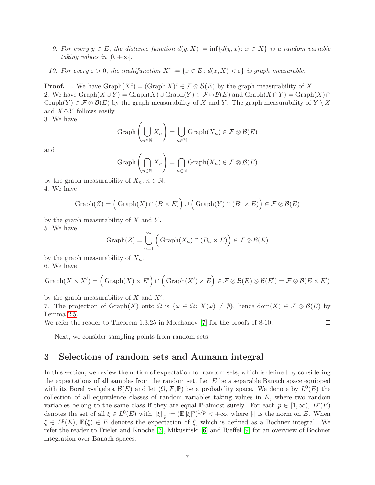- 9. For every  $y \in E$ , the distance function  $d(y, X) := \inf \{d(y, x) : x \in X\}$  is a random variable taking values in  $[0, +\infty]$ .
- 10. For every  $\varepsilon > 0$ , the multifunction  $X^{\varepsilon} := \{x \in E : d(x, X) < \varepsilon\}$  is graph measurable.

**Proof.** 1. We have  $\text{Graph}(X^c) = (\text{Graph } X)^c \in \mathcal{F} \otimes \mathcal{B}(E)$  by the graph measurability of X. 2. We have  $\text{Graph}(X \cup Y) = \text{Graph}(X) \cup \text{Graph}(Y) \in \mathcal{F} \otimes \mathcal{B}(E)$  and  $\text{Graph}(X \cap Y) = \text{Graph}(X) \cap \mathcal{F}$ Graph(Y)  $\in \mathcal{F} \otimes \mathcal{B}(E)$  by the graph measurability of X and Y. The graph measurability of  $Y \setminus X$ and  $X\triangle Y$  follows easily.

3. We have

$$
\operatorname{Graph}\left(\bigcup_{n\in\mathbb{N}}X_n\right)=\bigcup_{n\in\mathbb{N}}\operatorname{Graph}(X_n)\in\mathcal{F}\otimes\mathcal{B}(E)
$$

and

$$
\operatorname{Graph}\left(\bigcap_{n\in\mathbb{N}} X_n\right) = \bigcap_{n\in\mathbb{N}} \operatorname{Graph}(X_n) \in \mathcal{F} \otimes \mathcal{B}(E)
$$

by the graph measurability of  $X_n$ ,  $n \in \mathbb{N}$ .

4. We have

$$
Graph(Z) = (Graph(X) \cap (B \times E)) \cup (Graph(Y) \cap (B^c \times E)) \in \mathcal{F} \otimes \mathcal{B}(E)
$$

by the graph measurability of  $X$  and  $Y$ .

5. We have

$$
Graph(Z) = \bigcup_{n=1}^{\infty} \left( Graph(X_n) \cap (B_n \times E) \right) \in \mathcal{F} \otimes \mathcal{B}(E)
$$

by the graph measurability of  $X_n$ . 6. We have

$$
\mathrm{Graph}(X \times X') = \Big(\mathrm{Graph}(X) \times E'\Big) \cap \Big(\mathrm{Graph}(X') \times E\Big) \in \mathcal{F} \otimes \mathcal{B}(E) \otimes \mathcal{B}(E') = \mathcal{F} \otimes \mathcal{B}(E \times E')
$$

by the graph measurability of  $X$  and  $X'$ .

7. The projection of Graph $(X)$  onto  $\Omega$  is  $\{\omega \in \Omega \colon X(\omega) \neq \emptyset\}$ , hence  $\text{dom}(X) \in \mathcal{F} \otimes \mathcal{B}(E)$  by Lemma [2.5.](#page-5-0)

 $\Box$ 

We refer the reader to Theorem 1.3.25 in Molchanov [\[7\]](#page-34-1) for the proofs of 8-10.

Next, we consider sampling points from random sets.

## <span id="page-6-0"></span>3 Selections of random sets and Aumann integral

In this section, we review the notion of expectation for random sets, which is defined by considering the expectations of all samples from the random set. Let  $E$  be a separable Banach space equipped with its Borel  $\sigma$ -algebra  $\mathcal{B}(E)$  and let  $(\Omega, \mathcal{F}, \mathbb{P})$  be a probability space. We denote by  $L^0(E)$  the collection of all equivalence classes of random variables taking values in  $E$ , where two random variables belong to the same class if they are equal P-almost surely. For each  $p \in [1,\infty)$ ,  $L^p(E)$ denotes the set of all  $\xi \in L^0(E)$  with  $||\xi||_p := (\mathbb{E} |\xi|^p)^{1/p} < +\infty$ , where  $|\cdot|$  is the norm on E. When  $\xi \in L^p(E)$ ,  $\mathbb{E}(\xi) \in E$  denotes the expectation of  $\xi$ , which is defined as a Bochner integral. We refer the reader to Frieler and Knoche [\[3\]](#page-34-4), Mikusinski [\[6\]](#page-34-5) and Rieffel [\[9\]](#page-34-6) for an overview of Bochner integration over Banach spaces.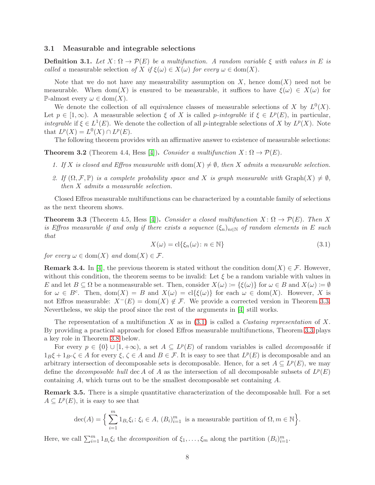### 3.1 Measurable and integrable selections

**Definition 3.1.** Let  $X: \Omega \to \mathcal{P}(E)$  be a multifunction. A random variable  $\xi$  with values in E is called a measurable selection of X if  $\xi(\omega) \in X(\omega)$  for every  $\omega \in \text{dom}(X)$ .

Note that we do not have any measurability assumption on X, hence dom(X) need not be measurable. When dom(X) is ensured to be measurable, it suffices to have  $\xi(\omega) \in X(\omega)$  for P-almost every  $\omega \in \text{dom}(X)$ .

We denote the collection of all equivalence classes of measurable selections of X by  $L^0(X)$ . Let  $p \in [1,\infty)$ . A measurable selection  $\xi$  of X is called p-integrable if  $\xi \in L^p(E)$ , in particular, integrable if  $\xi \in L^1(E)$ . We denote the collection of all p-integrable selections of X by  $L^p(X)$ . Note that  $L^p(X) = L^0(X) \cap L^p(E)$ .

The following theorem provides with an affirmative answer to existence of measurable selections:

<span id="page-7-2"></span>**Theorem 3.2** (Theorem 4.4, Hess [\[4\]](#page-34-3)). Consider a multifunction  $X: \Omega \to \mathcal{P}(E)$ .

- 1. If X is closed and Effros measurable with dom(X)  $\neq \emptyset$ , then X admits a measurable selection.
- 2. If  $(\Omega, \mathcal{F}, \mathbb{P})$  is a complete probability space and X is graph measurable with  $\text{Graph}(X) \neq \emptyset$ , then X admits a measurable selection.

Closed Effros measurable multifunctions can be characterized by a countable family of selections as the next theorem shows.

<span id="page-7-0"></span>**Theorem 3.3** (Theorem 4.5, Hess [\[4\]](#page-34-3)). Consider a closed multifunction  $X: \Omega \to \mathcal{P}(E)$ . Then X is Effros measurable if and only if there exists a sequence  $(\xi_n)_{n\in\mathbb{N}}$  of random elements in E such that

<span id="page-7-1"></span>
$$
X(\omega) = \text{cl}\{\xi_n(\omega) \colon n \in \mathbb{N}\}\tag{3.1}
$$

for every  $\omega \in \text{dom}(X)$  and  $\text{dom}(X) \in \mathcal{F}$ .

**Remark 3.4.** In [\[4\]](#page-34-3), the previous theorem is stated without the condition dom(X)  $\in \mathcal{F}$ . However, without this condition, the theorem seems to be invalid: Let  $\xi$  be a random variable with values in E and let  $B \subseteq \Omega$  be a nonmeasurable set. Then, consider  $X(\omega) := {\{\xi(\omega)\}\text{ for }\omega \in B \text{ and } X(\omega) := \emptyset}$ for  $\omega \in B^c$ . Then,  $dom(X) = B$  and  $X(\omega) = cl{\xi(\omega)}$  for each  $\omega \in dom(X)$ . However, X is not Effros measurable:  $X^{-}(E) = \text{dom}(X) \notin \mathcal{F}$ . We provide a corrected version in Theorem [3.3.](#page-7-0) Nevertheless, we skip the proof since the rest of the arguments in [\[4\]](#page-34-3) still works.

The representation of a multifunction X as in  $(3.1)$  is called a Castaing representation of X. By providing a practical approach for closed Effros measurable multifunctions, Theorem [3.3](#page-7-0) plays a key role in Theorem [3.8](#page-8-0) below.

For every  $p \in \{0\} \cup [1, +\infty)$ , a set  $A \subseteq L^p(E)$  of random variables is called *decomposable* if  $1_B\xi + 1_{B^c}\zeta \in A$  for every  $\xi, \zeta \in A$  and  $B \in \mathcal{F}$ . It is easy to see that  $L^p(E)$  is decomposable and an arbitrary intersection of decomposable sets is decomposable. Hence, for a set  $A \subseteq L^p(E)$ , we may define the *decomposable hull* dec A of A as the intersection of all decomposable subsets of  $L^p(E)$ containing A, which turns out to be the smallest decomposable set containing A.

Remark 3.5. There is a simple quantitative characterization of the decomposable hull. For a set  $A \subseteq L^p(E)$ , it is easy to see that

$$
\operatorname{dec}(A) = \Big\{\sum_{i=1}^m 1_{B_i} \xi_i \colon \xi_i \in A, (B_i)_{i=1}^m \text{ is a measurable partition of } \Omega, m \in \mathbb{N} \Big\}.
$$

Here, we call  $\sum_{i=1}^m 1_{B_i} \xi_i$  the *decomposition* of  $\xi_1, \ldots, \xi_m$  along the partition  $(B_i)_{i=1}^m$ .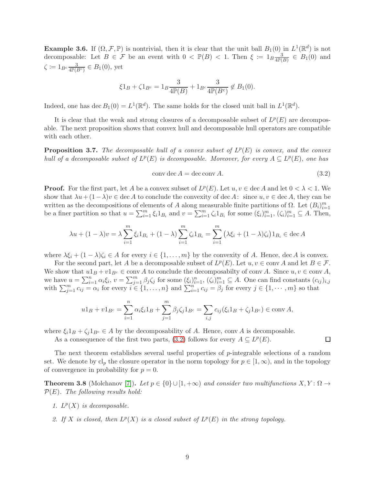<span id="page-8-4"></span>**Example 3.6.** If  $(\Omega, \mathcal{F}, \mathbb{P})$  is nontrivial, then it is clear that the unit ball  $B_1(0)$  in  $L^1(\mathbb{R}^d)$  is not decomposable: Let  $B \in \mathcal{F}$  be an event with  $0 < \mathbb{P}(B) < 1$ . Then  $\xi \coloneqq 1_B \frac{3}{4\mathbb{P}(B)}$  $\frac{3}{4\mathbb{P}(B)} \in B_1(0)$  and  $\zeta \coloneqq 1_{B^c} \frac{3}{4\mathbb{P}(B^c)} \in B_1(0)$ , yet

$$
\xi 1_B + \zeta 1_{B^c} = 1_B \frac{3}{4\mathbb{P}(B)} + 1_{B^c} \frac{3}{4\mathbb{P}(B^c)} \notin B_1(0).
$$

Indeed, one has  $\text{dec } B_1(0) = L^1(\mathbb{R}^d)$ . The same holds for the closed unit ball in  $L^1(\mathbb{R}^d)$ .

It is clear that the weak and strong closures of a decomposable subset of  $L^p(E)$  are decomposable. The next proposition shows that convex hull and decomposable hull operators are compatible with each other.

<span id="page-8-5"></span>**Proposition 3.7.** The decomposable hull of a convex subset of  $L^p(E)$  is convex, and the convex hull of a decomposable subset of  $L^p(E)$  is decomposable. Moreover, for every  $A \subseteq L^p(E)$ , one has

<span id="page-8-1"></span>
$$
conv \, \text{dec } A = \text{dec conv } A. \tag{3.2}
$$

 $\Box$ 

**Proof.** For the first part, let A be a convex subset of  $L^p(E)$ . Let  $u, v \in \text{dec } A$  and let  $0 < \lambda < 1$ . We show that  $\lambda u + (1 - \lambda)v \in \text{dec } A$  to conclude the convexity of dec A: since  $u, v \in \text{dec } A$ , they can be written as the decompositions of elements of A along measurable finite partitions of  $\Omega$ . Let  $(B_i)_{i=1}^m$ be a finer partition so that  $u = \sum_{i=1}^{m} \xi_i 1_{B_i}$  and  $v = \sum_{i=1}^{m} \zeta_i 1_{B_i}$  for some  $(\xi_i)_{i=1}^m$ ,  $(\zeta_i)_{i=1}^m \subseteq A$ . Then,

$$
\lambda u + (1 - \lambda)v = \lambda \sum_{i=1}^{m} \xi_i 1_{B_i} + (1 - \lambda) \sum_{i=1}^{m} \zeta_i 1_{B_i} = \sum_{i=1}^{m} (\lambda \xi_i + (1 - \lambda)\zeta_i) 1_{B_i} \in \text{dec } A
$$

where  $\lambda \xi_i + (1 - \lambda)\zeta_i \in A$  for every  $i \in \{1, ..., m\}$  by the convexity of A. Hence, dec A is convex.

For the second part, let A be a decomposable subset of  $L^p(E)$ . Let  $u, v \in \text{conv } A$  and let  $B \in \mathcal{F}$ . We show that  $u1_B + v1_{B^c} \in \text{conv } A$  to conclude the decomposabilty of conv A. Since  $u, v \in \text{conv } A$ , we have  $u = \sum_{i=1}^n \alpha_i \xi_i$ ,  $v = \sum_{j=1}^m \beta_j \zeta_j$  for some  $(\xi_i)_{i=1}^n$ ,  $(\zeta_i)_{i=1}^m \subseteq A$ . One can find constants  $(c_{ij})_{i,j}$ with  $\sum_{j=1}^m c_{ij} = \alpha_i$  for every  $i \in \{1, \ldots, n\}$  and  $\sum_{i=1}^n c_{ij} = \beta_j$  for every  $j \in \{1, \cdots, m\}$  so that

$$
u1_B + v1_{B^c} = \sum_{i=1}^n \alpha_i \xi_i 1_B + \sum_{j=1}^m \beta_j \zeta_j 1_{B^c} = \sum_{i,j} c_{ij} (\xi_i 1_B + \zeta_j 1_{B^c}) \in \text{conv } A,
$$

where  $\xi_i 1_B + \zeta_j 1_{B^c} \in A$  by the decomposability of A. Hence, conv A is decomposable.

As a consequence of the first two parts, [\(3.2\)](#page-8-1) follows for every  $A \subseteq L^p(E)$ .

The next theorem establishes several useful properties of p-integrable selections of a random set. We denote by  $cl_p$  the closure operator in the norm topology for  $p \in [1,\infty)$ , and in the topology of convergence in probability for  $p = 0$ .

<span id="page-8-2"></span><span id="page-8-0"></span>**Theorem 3.8** (Molchanov [\[7\]](#page-34-1)). Let  $p \in \{0\} \cup [1, +\infty)$  and consider two multifunctions  $X, Y : \Omega \to$  $\mathcal{P}(E)$ . The following results hold:

- <span id="page-8-3"></span>1.  $L^p(X)$  is decomposable.
- 2. If X is closed, then  $L^p(X)$  is a closed subset of  $L^p(E)$  in the strong topology.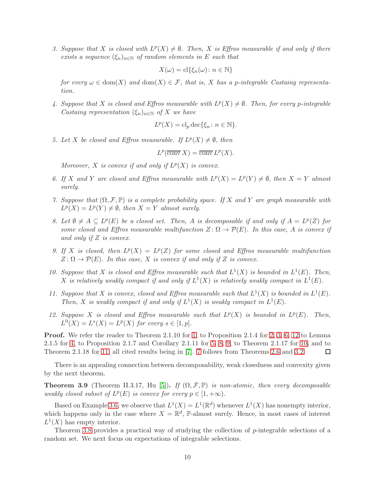<span id="page-9-0"></span>3. Suppose that X is closed with  $L^p(X) \neq \emptyset$ . Then, X is Effros measurable if and only if there exists a sequence  $(\xi_n)_{n\in\mathbb{N}}$  of random elements in E such that

$$
X(\omega) = \mathrm{cl}\{\xi_n(\omega) \colon n \in \mathbb{N}\}
$$

for every  $\omega \in \text{dom}(X)$  and  $\text{dom}(X) \in \mathcal{F}$ , that is, X has a p-integrable Castaing representation.

<span id="page-9-3"></span>4. Suppose that X is closed and Effros measurable with  $L^p(X) \neq \emptyset$ . Then, for every p-integrable Castaing representation  $(\xi_n)_{n\in\mathbb{N}}$  of X we have

$$
L^p(X) = cl_p \, \text{dec}\{\xi_n \colon n \in \mathbb{N}\}.
$$

<span id="page-9-4"></span>5. Let X be closed and Effros measurable. If  $L^p(X) \neq \emptyset$ , then

$$
L^p(\overline{\text{conv}}\,X)=\overline{\text{conv}}\,L^p(X).
$$

Moreover, X is convex if and only if  $L^p(X)$  is convex.

- <span id="page-9-9"></span><span id="page-9-1"></span>6. If X and Y are closed and Effros measurable with  $L^p(X) = L^p(Y) \neq \emptyset$ , then  $X = Y$  almost surely.
- 7. Suppose that  $(\Omega, \mathcal{F}, \mathbb{P})$  is a complete probability space. If X and Y are graph measurable with  $L^p(X) = L^p(Y) \neq \emptyset$ , then  $X = Y$  almost surely.
- <span id="page-9-5"></span>8. Let  $\emptyset \neq A \subseteq L^p(E)$  be a closed set. Then, A is decomposable if and only if  $A = L^p(Z)$  for some closed and Effros measurable multifunction  $Z: \Omega \to \mathcal{P}(E)$ . In this case, A is convex if and only if Z is convex.
- <span id="page-9-6"></span>9. If X is closed, then  $L^p(X) = L^p(Z)$  for some closed and Effros measurable multifunction  $Z: \Omega \to \mathcal{P}(E)$ . In this case, X is convex if and only if Z is convex.
- <span id="page-9-7"></span>10. Suppose that X is closed and Effros measurable such that  $L^1(X)$  is bounded in  $L^1(E)$ . Then, X is relatively weakly compact if and only if  $L^1(X)$  is relatively weakly compact in  $L^1(E)$ .
- <span id="page-9-8"></span>11. Suppose that X is convex, closed and Effros measurable such that  $L^1(X)$  is bounded in  $L^1(E)$ . Then, X is weakly compact if and only if  $L^1(X)$  is weakly compact in  $L^1(E)$ .
- <span id="page-9-2"></span>12. Suppose X is closed and Effros measurable such that  $L^p(X)$  is bounded in  $L^p(E)$ . Then,  $L^0(X) = L^s(X) = L^p(X)$  for every  $s \in [1, p]$ .

Proof. We refer the reader to Theorem 2.1.10 for [1,](#page-8-2) to Proposition 2.1.4 for [2,](#page-8-3) [3,](#page-9-0) [6,](#page-9-1) [12](#page-9-2) to Lemma 2.1.5 for [4,](#page-9-3) to Proposition 2.1.7 and Corollary 2.1.11 for [5,](#page-9-4) [8,](#page-9-5) [9,](#page-9-6) to Theorem 2.1.17 for [10,](#page-9-7) and to Theorem 2.1.18 for [11,](#page-9-8) all cited results being in [\[7\]](#page-34-1). [7](#page-9-9) follows from Theorems [2.6](#page-5-1) and [3.2.](#page-7-2) □

There is an appealing connection between decomposability, weak closedness and convexity given by the next theorem.

**Theorem 3.9** (Theorem II.3.17, Hu [\[5\]](#page-34-7)). If  $(\Omega, \mathcal{F}, \mathbb{P})$  is non-atomic, then every decomposable weakly closed subset of  $L^p(E)$  is convex for every  $p \in [1, +\infty)$ .

Based on Example [3.6,](#page-8-4) we observe that  $L^1(X) = L^1(\mathbb{R}^d)$  whenever  $L^1(X)$  has nonempty interior, which happens only in the case where  $X = \mathbb{R}^d$ , P-almost surely. Hence, in most cases of interest  $L^1(X)$  has empty interior.

Theorem [3.8](#page-8-0) provides a practical way of studying the collection of p-integrable selections of a random set. We next focus on expectations of integrable selections.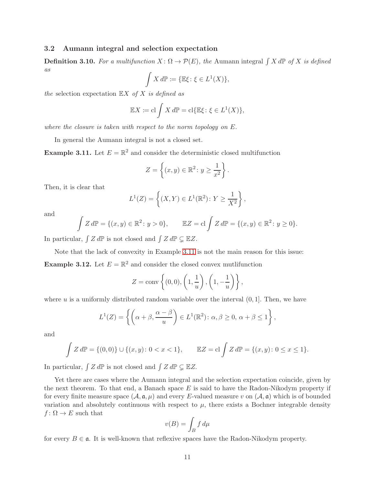### 3.2 Aumann integral and selection expectation

**Definition 3.10.** For a multifunction  $X: \Omega \to \mathcal{P}(E)$ , the Aumann integral  $\int X dP$  of X is defined as

$$
\int X d\mathbb{P} := \{ \mathbb{E}\xi \colon \xi \in L^1(X) \},
$$

the selection expectation  $\mathbb{E} X$  of X is defined as

$$
\mathbb{E}X := \mathrm{cl}\int X d\mathbb{P} = \mathrm{cl}\{\mathbb{E}\xi : \xi \in L^1(X)\},
$$

where the closure is taken with respect to the norm topology on E.

In general the Aumann integral is not a closed set.

<span id="page-10-0"></span>**Example 3.11.** Let  $E = \mathbb{R}^2$  and consider the deterministic closed multifunction

$$
Z = \left\{ (x, y) \in \mathbb{R}^2 \colon y \ge \frac{1}{x^2} \right\}.
$$

Then, it is clear that

$$
L^{1}(Z) = \left\{ (X, Y) \in L^{1}(\mathbb{R}^{2}) : Y \ge \frac{1}{X^{2}} \right\},\
$$

and

$$
\int Z d\mathbb{P} = \{(x, y) \in \mathbb{R}^2 : y > 0\}, \qquad \mathbb{E}Z = \text{cl} \int Z d\mathbb{P} = \{(x, y) \in \mathbb{R}^2 : y \ge 0\}.
$$

In particular,  $\int Z d\mathbb{P}$  is not closed and  $\int Z d\mathbb{P} \subsetneq \mathbb{E}Z$ .

Note that the lack of convexity in Example [3.11](#page-10-0) is not the main reason for this issue: **Example 3.12.** Let  $E = \mathbb{R}^2$  and consider the closed convex mutlifunction

$$
Z = \text{conv}\left\{(0,0), \left(1, \frac{1}{u}\right), \left(1, -\frac{1}{u}\right)\right\},\
$$

where  $u$  is a uniformly distributed random variable over the interval  $(0, 1]$ . Then, we have

$$
L^{1}(Z) = \left\{ \left( \alpha + \beta, \frac{\alpha - \beta}{u} \right) \in L^{1}(\mathbb{R}^{2}) : \alpha, \beta \ge 0, \alpha + \beta \le 1 \right\},\
$$

and

$$
\int Z d\mathbb{P} = \{(0,0)\} \cup \{(x,y): 0 < x < 1\}, \qquad \mathbb{E}Z = \text{cl} \int Z d\mathbb{P} = \{(x,y): 0 \le x \le 1\}.
$$

In particular,  $\int Z d\mathbb{P}$  is not closed and  $\int Z d\mathbb{P} \subsetneq \mathbb{E}Z$ .

Yet there are cases where the Aumann integral and the selection expectation coincide, given by the next theorem. To that end, a Banach space  $E$  is said to have the Radon-Nikodym property if for every finite measure space  $(A, \mathfrak{a}, \mu)$  and every E-valued measure v on  $(A, \mathfrak{a})$  which is of bounded variation and absolutely continuous with respect to  $\mu$ , there exists a Bochner integrable density  $f: \Omega \to E$  such that

$$
v(B) = \int_B f \, d\mu
$$

for every  $B \in \mathfrak{a}$ . It is well-known that reflexive spaces have the Radon-Nikodym property.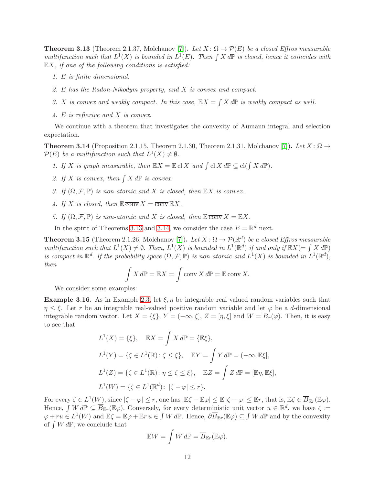<span id="page-11-0"></span>**Theorem 3.13** (Theorem 2.1.37, Molchanov [\[7\]](#page-34-1)). Let  $X: \Omega \to \mathcal{P}(E)$  be a closed Effros measurable multifunction such that  $L^1(X)$  is bounded in  $L^1(E)$ . Then  $\int X d\mathbb{P}$  is closed, hence it coincides with  $\mathbb{E}X$ , if one of the following conditions is satisfied:

- 1. E is finite dimensional.
- 2. E has the Radon-Nikodym property, and X is convex and compact.
- 3. X is convex and weakly compact. In this case,  $\mathbb{E}X = \int X d\mathbb{P}$  is weakly compact as well.
- 4. E is reflexive and X is convex.

We continue with a theorem that investigates the convexity of Aumann integral and selection expectation.

<span id="page-11-1"></span>**Theorem 3.14** (Proposition 2.1.15, Theorem 2.1.30, Theorem 2.1.31, Molchanov [\[7\]](#page-34-1)). Let  $X: \Omega \rightarrow$  $\mathcal{P}(E)$  be a multifunction such that  $L^1(X) \neq \emptyset$ .

- 1. If X is graph measurable, then  $\mathbb{E}X = \mathbb{E} \mathbb{C} \times \mathbb{C} \times \mathbb{C} \times \mathbb{C} \times \mathbb{C} \times \mathbb{C} \times \mathbb{C} \times \mathbb{C} \times \mathbb{C} \times \mathbb{C} \times \mathbb{C} \times \mathbb{C} \times \mathbb{C} \times \mathbb{C} \times \mathbb{C} \times \mathbb{C} \times \mathbb{C} \times \mathbb{C} \times \mathbb{C} \times \mathbb{C} \times \mathbb{C} \times \mathbb{$
- 2. If X is convex, then  $\int X dP$  is convex.
- 3. If  $(\Omega, \mathcal{F}, \mathbb{P})$  is non-atomic and X is closed, then  $\mathbb{E} X$  is convex.
- 4. If X is closed, then  $\mathbb{E} \overline{\text{conv}} X = \overline{\text{conv}} \mathbb{E} X$ .
- 5. If  $(\Omega, \mathcal{F}, \mathbb{P})$  is non-atomic and X is closed, then  $\mathbb{E} \overline{\text{conv}} X = \mathbb{E} X$ .

In the spirit of Theorems [3.13](#page-11-0) and [3.14,](#page-11-1) we consider the case  $E = \mathbb{R}^d$  next.

**Theorem 3.15** (Theorem 2.1.26, Molchanov [\[7\]](#page-34-1)). Let  $X: \Omega \to \mathcal{P}(\mathbb{R}^d)$  be a closed Effros measurable multifunction such that  $L^1(X) \neq \emptyset$ . Then,  $L^1(X)$  is bounded in  $L^1(\mathbb{R}^d)$  if and only if  $\mathbb{E}X(=\int X d\mathbb{P})$ is compact in  $\mathbb{R}^d$ . If the probability space  $(\Omega, \mathcal{F}, \mathbb{P})$  is non-atomic and  $L^1(X)$  is bounded in  $L^1(\mathbb{R}^d)$ , then

$$
\int X d\mathbb{P} = \mathbb{E}X = \int \operatorname{conv} X d\mathbb{P} = \mathbb{E} \operatorname{conv} X.
$$

We consider some examples:

**Example 3.16.** As in Example [2.3,](#page-3-0) let  $\xi, \eta$  be integrable real valued random variables such that  $\eta \leq \xi$ . Let r be an integrable real-valued positive random variable and let  $\varphi$  be a d-dimensional integrable random vector. Let  $X = \{\xi\}, Y = (-\infty, \xi], Z = [\eta, \xi]$  and  $W = \overline{B}_r(\varphi)$ . Then, it is easy to see that

$$
L^{1}(X) = \{\xi\}, \quad \mathbb{E}X = \int X \, d\mathbb{P} = \{\mathbb{E}\xi\},
$$
  

$$
L^{1}(Y) = \{\zeta \in L^{1}(\mathbb{R}) \colon \zeta \le \xi\}, \quad \mathbb{E}Y = \int Y \, d\mathbb{P} = (-\infty, \mathbb{E}\xi],
$$
  

$$
L^{1}(Z) = \{\zeta \in L^{1}(\mathbb{R}) \colon \eta \le \zeta \le \xi\}, \quad \mathbb{E}Z = \int Z \, d\mathbb{P} = [\mathbb{E}\eta, \mathbb{E}\xi],
$$
  

$$
L^{1}(W) = \{\zeta \in L^{1}(\mathbb{R}^{d}) \colon |\zeta - \varphi| \le r\}.
$$

For every  $\zeta \in L^1(W)$ , since  $|\zeta - \varphi| \le r$ , one has  $|\mathbb{E}\zeta - \mathbb{E}\varphi| \le \mathbb{E} |\zeta - \varphi| \le \mathbb{E}r$ , that is,  $\mathbb{E}\zeta \in \overline{B}_{\mathbb{E}r}(\mathbb{E}\varphi)$ . Hence,  $\int W d\mathbb{P} \subseteq \overline{B}_{\mathbb{E}r}(\mathbb{E}\varphi)$ . Conversely, for every deterministic unit vector  $u \in \mathbb{R}^d$ , we have  $\zeta \coloneqq$  $\varphi + ru \in L^1(W)$  and  $\mathbb{E}\zeta = \mathbb{E}\varphi + \mathbb{E}r u \in \int W d\mathbb{P}$ . Hence,  $\partial \overline{B}_{\mathbb{E}r}(\mathbb{E}\varphi) \subseteq \int W d\mathbb{P}$  and by the convexity of  $\int W d\mathbb{P}$ , we conclude that

$$
\mathbb{E}W = \int W d\mathbb{P} = \overline{B}_{\mathbb{E}r}(\mathbb{E}\varphi).
$$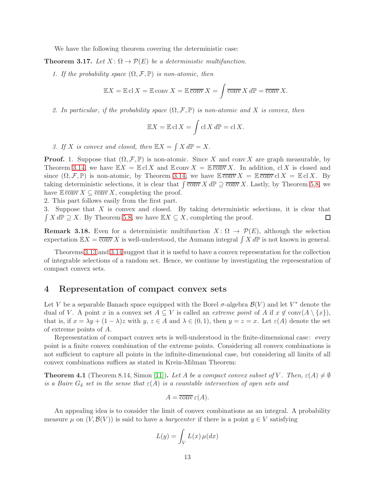We have the following theorem covering the deterministic case:

**Theorem 3.17.** Let  $X: \Omega \to \mathcal{P}(E)$  be a deterministic multifunction.

1. If the probability space  $(\Omega, \mathcal{F}, \mathbb{P})$  is non-atomic, then

$$
\mathbb{E}X = \mathbb{E} \operatorname{cl} X = \mathbb{E} \operatorname{conv} X = \mathbb{E} \overline{\operatorname{conv}} X = \int \overline{\operatorname{conv}} X d\mathbb{P} = \overline{\operatorname{conv}} X.
$$

2. In particular, if the probability space  $(\Omega, \mathcal{F}, \mathbb{P})$  is non-atomic and X is convex, then

$$
\mathbb{E}X = \mathbb{E}\operatorname{cl} X = \int \operatorname{cl} X d\mathbb{P} = \operatorname{cl} X.
$$

3. If X is convex and closed, then  $\mathbb{E}X = \int X d\mathbb{P} = X$ .

**Proof.** 1. Suppose that  $(\Omega, \mathcal{F}, \mathbb{P})$  is non-atomic. Since X and conv X are graph measurable, by Theorem [3.14,](#page-11-1) we have  $\mathbb{E}X = \mathbb{E} \in X$  and  $\mathbb{E} \text{ conv } X = \mathbb{E} \overline{\text{ conv }} X$ . In addition,  $\mathrm{cl } X$  is closed and since  $(\Omega, \mathcal{F}, \mathbb{P})$  is non-atomic, by Theorem [3.14,](#page-11-1) we have  $\mathbb{E} \overline{\text{conv}} X = \mathbb{E} \overline{\text{conv}} \text{cl } X = \mathbb{E} \text{cl } X$ . By taking deterministic selections, it is clear that  $\int \overline{\text{conv}} X dP \supseteq \overline{\text{conv}} X$ . Lastly, by Theorem [5.8,](#page-16-0) we have  $\mathbb{E} \overline{\text{conv}} X \subseteq \overline{\text{conv}} X$ , completing the proof.

2. This part follows easily from the first part.

3. Suppose that X is convex and closed. By taking deterministic selections, it is clear that  $\int X d\mathbb{P} \supseteq X$ . By Theorem [5.8,](#page-16-0) we have  $\mathbb{E} X \subseteq X$ , completing the proof. □

**Remark 3.18.** Even for a deterministic multifunction  $X: \Omega \to \mathcal{P}(E)$ , although the selection expectation  $\mathbb{E}X = \overline{\text{conv}} X$  is well-understood, the Aumann integral  $\int X d\mathbb{P}$  is not known in general.

Theorems [3.13](#page-11-0) and [3.14](#page-11-1) suggest that it is useful to have a convex representation for the collection of integrable selections of a random set. Hence, we continue by investigating the representation of compact convex sets.

## <span id="page-12-0"></span>4 Representation of compact convex sets

Let V be a separable Banach space equipped with the Borel  $\sigma$ -algebra  $\mathcal{B}(V)$  and let  $V^*$  denote the dual of V. A point x in a convex set  $A \subseteq V$  is called an *extreme point* of A if  $x \notin \text{conv}(A \setminus \{x\})$ , that is, if  $x = \lambda y + (1 - \lambda)z$  with  $y, z \in A$  and  $\lambda \in (0, 1)$ , then  $y = z = x$ . Let  $\varepsilon(A)$  denote the set of extreme points of A.

Representation of compact convex sets is well-understood in the finite-dimensional case: every point is a finite convex combination of the extreme points. Considering all convex combinations is not sufficient to capture all points in the infinite-dimensional case, but considering all limits of all convex combinations suffices as stated in Krein-Milman Theorem:

<span id="page-12-1"></span>**Theorem 4.1** (Theorem 8.14, Simon [\[11\]](#page-34-8)). Let A be a compact convex subset of V. Then,  $\varepsilon(A) \neq \emptyset$ is a Baire  $G_{\delta}$  set in the sense that  $\varepsilon(A)$  is a countable intersection of open sets and

$$
A = \overline{\text{conv}} \,\varepsilon(A).
$$

An appealing idea is to consider the limit of convex combinations as an integral. A probability measure  $\mu$  on  $(V, \mathcal{B}(V))$  is said to have a *barycenter* if there is a point  $y \in V$  satisfying

$$
L(y) = \int_V L(x) \,\mu(dx)
$$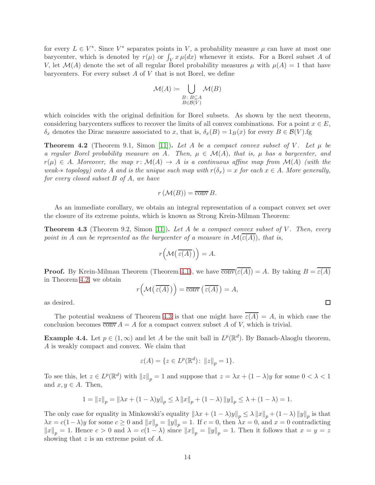for every  $L \in V^*$ . Since  $V^*$  separates points in V, a probability measure  $\mu$  can have at most one barycenter, which is denoted by  $r(\mu)$  or  $\int_V x \mu(dx)$  whenever it exists. For a Borel subset A of V, let  $\mathcal{M}(A)$  denote the set of all regular Borel probability measures  $\mu$  with  $\mu(A) = 1$  that have barycenters. For every subset  $A$  of  $V$  that is not Borel, we define

$$
\mathcal{M}(A) \coloneqq \bigcup_{\substack{B \colon B \subseteq A \\ B \in \mathcal{B}(V)}} \mathcal{M}(B)
$$

which coincides with the original definition for Borel subsets. As shown by the next theorem, considering barycenters suffices to recover the limits of all convex combinations. For a point  $x \in E$ ,  $\delta_x$  denotes the Dirac measure associated to x, that is,  $\delta_x(B) = 1_B(x)$  for every  $B \in \mathcal{B}(V)$ .fg

<span id="page-13-0"></span>**Theorem 4.2** (Theorem 9.1, Simon [\[11\]](#page-34-8)). Let A be a compact convex subset of V. Let  $\mu$  be a regular Borel probability measure on A. Then,  $\mu \in \mathcal{M}(A)$ , that is,  $\mu$  has a barycenter, and  $r(\mu) \in A$ . Moreover, the map r:  $\mathcal{M}(A) \to A$  is a continuous affine map from  $\mathcal{M}(A)$  (with the weak- $*$  topology) onto A and is the unique such map with  $r(\delta_x) = x$  for each  $x \in A$ . More generally, for every closed subset  $B$  of  $A$ , we have

$$
r\left(\mathcal{M}(B)\right) = \overline{\text{conv}}\,B.
$$

As an immediate corollary, we obtain an integral representation of a compact convex set over the closure of its extreme points, which is known as Strong Krein-Milman Theorem:

<span id="page-13-1"></span>**Theorem 4.3** (Theorem 9.2, Simon [\[11\]](#page-34-8)). Let A be a compact convex subset of V. Then, every point in A can be represented as the barycenter of a measure in  $\mathcal{M}(\overline{\varepsilon(A)})$ , that is,

$$
r\Bigl({\mathcal M}\bigl(\,\overline{\varepsilon(A)}\,\bigr)\Bigr)=A.
$$

**Proof.** By Krein-Milman Theorem (Theorem [4.1\)](#page-12-1), we have  $\overline{conv}(\overline{\varepsilon(A)}) = A$ . By taking  $B = \overline{\varepsilon(A)}$ in Theorem [4.2,](#page-13-0) we obtain

$$
r\Big(\mathcal{M}\big(\,\overline{\varepsilon(A)}\,\big)\Big) = \overline{\text{conv}}\,\big(\,\overline{\varepsilon(A)}\,\big) = A,
$$

as desired.

The potential weakness of Theorem [4.3](#page-13-1) is that one might have  $\overline{\varepsilon(A)} = A$ , in which case the conclusion becomes  $\overline{\text{conv}} A = A$  for a compact convex subset A of V, which is trivial.

**Example 4.4.** Let  $p \in (1, \infty)$  and let A be the unit ball in  $L^p(\mathbb{R}^d)$ . By Banach-Alaoglu theorem, A is weakly compact and convex. We claim that

$$
\varepsilon(A) = \{ z \in L^p(\mathbb{R}^d) \colon ||z||_p = 1 \}.
$$

To see this, let  $z \in L^p(\mathbb{R}^d)$  with  $||z||_p = 1$  and suppose that  $z = \lambda x + (1 - \lambda)y$  for some  $0 < \lambda < 1$ and  $x, y \in A$ . Then,

$$
1 = ||z||_p = ||\lambda x + (1 - \lambda)y||_p \le \lambda ||x||_p + (1 - \lambda) ||y||_p \le \lambda + (1 - \lambda) = 1.
$$

The only case for equality in Minkowski's equality  $\|\lambda x + (1 - \lambda)y\|_p \leq \lambda \|x\|_p + (1 - \lambda) \|y\|_p$  is that  $\lambda x = c(1-\lambda)y$  for some  $c \ge 0$  and  $||x||_p = ||y||_p = 1$ . If  $c = 0$ , then  $\lambda x = 0$ , and  $x = 0$  contradicting  $||x||_p = 1$ . Hence  $c > 0$  and  $\lambda = c(1 - \lambda)$  since  $||x||_p = ||y||_p = 1$ . Then it follows that  $x = y = z$ showing that z is an extreme point of A.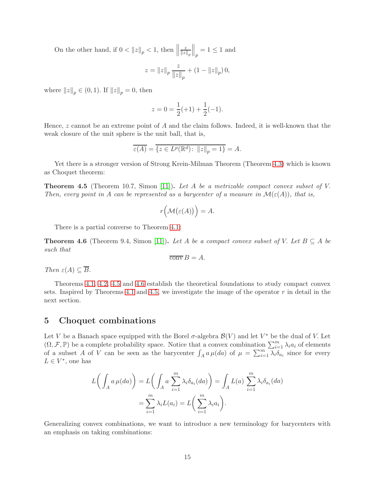On the other hand, if  $0 < ||z||_p < 1$ , then  $||$ z  $\left\Vert z\right\Vert _{p}$  $\Big\|_p = 1 \leq 1$  and

$$
z=\left\|z\right\|_p\frac{z}{\left\|z\right\|_p}+\left(1-\left\|z\right\|_p\right)0,
$$

where  $||z||_p \in (0, 1)$ . If  $||z||_p = 0$ , then

$$
z = 0 = \frac{1}{2}(+1) + \frac{1}{2}(-1).
$$

Hence, z cannot be an extreme point of A and the claim follows. Indeed, it is well-known that the weak closure of the unit sphere is the unit ball, that is,

$$
\overline{\varepsilon(A)} = \overline{\{z \in L^p(\mathbb{R}^d) \colon ||z||_p = 1\}} = A.
$$

Yet there is a stronger version of Strong Krein-Milman Theorem (Theorem [4.3\)](#page-13-1) which is known as Choquet theorem:

<span id="page-14-1"></span>**Theorem 4.5** (Theorem 10.7, Simon [\[11\]](#page-34-8)). Let A be a metrizable compact convex subset of V. Then, every point in A can be represented as a barycenter of a measure in  $\mathcal{M}(\varepsilon(A))$ , that is,

$$
r(\mathcal{M}(\varepsilon(A)))=A.
$$

There is a partial converse to Theorem [4.1:](#page-12-1)

<span id="page-14-2"></span>**Theorem 4.6** (Theorem 9.4, Simon [\[11\]](#page-34-8)). Let A be a compact convex subset of V. Let  $B \subseteq A$  be such that

$$
\overline{\text{conv}}\,B = A.
$$

Then  $\varepsilon(A) \subseteq \overline{B}$ .

Theorems [4.1,](#page-12-1) [4.2,](#page-13-0) [4.5](#page-14-1) and [4.6](#page-14-2) establish the theoretical foundations to study compact convex sets. Inspired by Theorems [4.1](#page-12-1) and [4.5,](#page-14-1) we investigate the image of the operator  $r$  in detail in the next section.

### <span id="page-14-0"></span>5 Choquet combinations

Let V be a Banach space equipped with the Borel  $\sigma$ -algebra  $\mathcal{B}(V)$  and let  $V^*$  be the dual of V. Let  $(\Omega, \mathcal{F}, \mathbb{P})$  be a complete probability space. Notice that a convex combination  $\sum_{i=1}^{m} \lambda_i a_i$  of elements of a subset A of V can be seen as the barycenter  $\int_A a \mu(da)$  of  $\mu = \sum_{i=1}^m \lambda_i \delta_{a_i}$  since for every  $L \in V^*$ , one has

$$
L\left(\int_A a \,\mu(da)\right) = L\left(\int_A a \,\sum_{i=1}^m \lambda_i \delta_{a_i}(da)\right) = \int_A L(a) \,\sum_{i=1}^m \lambda_i \delta_{a_i}(da)
$$

$$
= \sum_{i=1}^m \lambda_i L(a_i) = L\left(\sum_{i=1}^m \lambda_i a_i\right).
$$

Generalizing convex combinations, we want to introduce a new terminology for barycenters with an emphasis on taking combinations: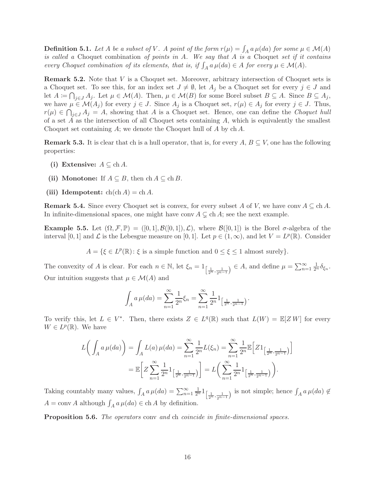**Definition 5.1.** Let A be a subset of V. A point of the form  $r(\mu) = \int_A a \mu(da)$  for some  $\mu \in \mathcal{M}(A)$ is called a Choquet combination of points in  $A$ . We say that  $A$  is a Choquet set if it contains every Choquet combination of its elements, that is, if  $\int_A a \mu(da) \in A$  for every  $\mu \in \mathcal{M}(A)$ .

Remark 5.2. Note that V is a Choquet set. Moreover, arbitrary intersection of Choquet sets is a Choquet set. To see this, for an index set  $J \neq \emptyset$ , let  $A_j$  be a Choquet set for every  $j \in J$  and let  $A := \bigcap_{j \in J} A_j$ . Let  $\mu \in \mathcal{M}(A)$ . Then,  $\mu \in \mathcal{M}(B)$  for some Borel subset  $B \subseteq A$ . Since  $B \subseteq A_j$ , we have  $\mu \in \mathcal{M}(A_i)$  for every  $j \in J$ . Since  $A_j$  is a Choquet set,  $r(\mu) \in A_j$  for every  $j \in J$ . Thus,  $r(\mu) \in \bigcap_{j \in J} A_j = A$ , showing that A is a Choquet set. Hence, one can define the Choquet hull of a set  $A$  as the intersection of all Choquet sets containing  $A$ , which is equivalently the smallest Choquet set containing A; we denote the Choquet hull of A by  $ch A$ .

**Remark 5.3.** It is clear that ch is a hull operator, that is, for every  $A, B \subseteq V$ , one has the following properties:

- (i) Extensive:  $A \subseteq \text{ch } A$ .
- (ii) Monotone: If  $A \subseteq B$ , then  $ch A \subseteq ch B$ .
- (iii) Idempotent:  $ch(ch A) = ch A$ .

**Remark 5.4.** Since every Choquet set is convex, for every subset A of V, we have conv  $A \subseteq$  ch A. In infinite-dimensional spaces, one might have conv  $A \subsetneq$  ch A; see the next example.

<span id="page-15-0"></span>**Example 5.5.** Let  $(\Omega, \mathcal{F}, \mathbb{P}) = ([0, 1], \mathcal{B}([0, 1]), \mathcal{L})$ , where  $\mathcal{B}([0, 1])$  is the Borel  $\sigma$ -algebra of the interval [0, 1] and  $\mathcal L$  is the Lebesgue measure on [0, 1]. Let  $p \in (1,\infty)$ , and let  $V = L^p(\mathbb R)$ . Consider

 $A = \{ \xi \in L^p(\mathbb{R}) : \xi \text{ is a simple function and } 0 \leq \xi \leq 1 \text{ almost surely} \}.$ 

The convexity of A is clear. For each  $n \in \mathbb{N}$ , let  $\xi_n = 1_{\left[\frac{1}{2^n}, \frac{1}{2^{n-1}}\right)} \in A$ , and define  $\mu = \sum_{n=1}^{\infty} \frac{1}{2^n} \delta_{\xi_n}$ . Our intuition suggests that  $\mu \in \mathcal{M}(A)$  and

$$
\int_A a \,\mu(da) = \sum_{n=1}^{\infty} \frac{1}{2^n} \xi_n = \sum_{n=1}^{\infty} \frac{1}{2^n} 1_{\left[\frac{1}{2^n}, \frac{1}{2^{n-1}}\right)}.
$$

To verify this, let  $L \in V^*$ . Then, there exists  $Z \in L^q(\mathbb{R})$  such that  $L(W) = \mathbb{E}[ZW]$  for every  $W \in L^p(\mathbb{R})$ . We have

$$
L\left(\int_{A} a \,\mu(da)\right) = \int_{A} L(a) \,\mu(da) = \sum_{n=1}^{\infty} \frac{1}{2^{n}} L(\xi_{n}) = \sum_{n=1}^{\infty} \frac{1}{2^{n}} \mathbb{E}\left[Z1_{\left[\frac{1}{2^{n}}, \frac{1}{2^{n-1}}\right]}\right]
$$

$$
= \mathbb{E}\left[Z\sum_{n=1}^{\infty} \frac{1}{2^{n}} 1_{\left[\frac{1}{2^{n}}, \frac{1}{2^{n-1}}\right]}\right] = L\left(\sum_{n=1}^{\infty} \frac{1}{2^{n}} 1_{\left[\frac{1}{2^{n}}, \frac{1}{2^{n-1}}\right]}\right).
$$

Taking countably many values,  $\int_A a \mu(da) = \sum_{n=1}^{\infty} \frac{1}{2^n} 1_{\left[\frac{1}{2^n}, \frac{1}{2^{n-1}}\right]}$  is not simple; hence  $\int_A a \mu(da) \notin$  $A = \text{conv } A$  although  $\int_A a \,\mu(da) \in \text{ch } A$  by definition.

**Proposition 5.6.** The operators conv and ch coincide in finite-dimensional spaces.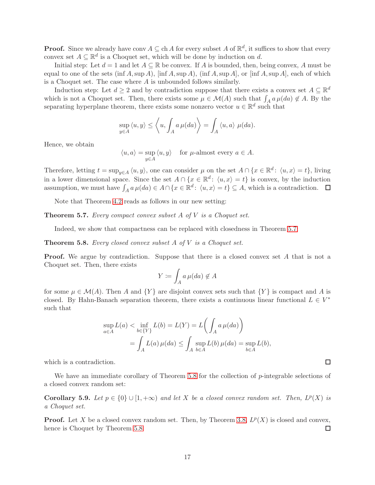**Proof.** Since we already have conv  $A \subseteq$  ch A for every subset A of  $\mathbb{R}^d$ , it suffices to show that every convex set  $A \subseteq \mathbb{R}^d$  is a Choquet set, which will be done by induction on d.

Initial step: Let  $d = 1$  and let  $A \subseteq \mathbb{R}$  be convex. If A is bounded, then, being convex, A must be equal to one of the sets (inf A, sup A), [inf A, sup A), (inf A, sup A], or [inf A, sup A], each of which is a Choquet set. The case where A is unbounded follows similarly.

Induction step: Let  $d \geq 2$  and by contradiction suppose that there exists a convex set  $A \subseteq \mathbb{R}^d$ which is not a Choquet set. Then, there exists some  $\mu \in \mathcal{M}(A)$  such that  $\int_A a \mu(da) \notin A$ . By the separating hyperplane theorem, there exists some nonzero vector  $u \in \mathbb{R}^d$  such that

$$
\sup_{y \in A} \langle u, y \rangle \le \left\langle u, \int_A a \,\mu(da) \right\rangle = \int_A \langle u, a \rangle \,\mu(da).
$$

Hence, we obtain

 $\langle u, a \rangle = \sup$ y∈A  $\langle u, y \rangle$  for  $\mu$ -almost every  $a \in A$ .

Therefore, letting  $t = \sup_{y \in A} \langle u, y \rangle$ , one can consider  $\mu$  on the set  $A \cap \{x \in \mathbb{R}^d : \langle u, x \rangle = t\}$ , living in a lower dimensional space. Since the set  $A \cap \{x \in \mathbb{R}^d : \langle u, x \rangle = t\}$  is convex, by the induction assumption, we must have  $\int_A a \mu(da) \in A \cap \{x \in \mathbb{R}^d: \langle u, x \rangle = t\} \subseteq A$ , which is a contradiction.

Note that Theorem [4.2](#page-13-0) reads as follows in our new setting:

<span id="page-16-2"></span>**Theorem 5.7.** Every compact convex subset  $A$  of  $V$  is a Choquet set.

Indeed, we show that compactness can be replaced with closedness in Theorem [5.7:](#page-16-2)

<span id="page-16-0"></span>**Theorem 5.8.** Every closed convex subset  $A$  of  $V$  is a Choquet set.

**Proof.** We argue by contradiction. Suppose that there is a closed convex set A that is not a Choquet set. Then, there exists

$$
Y \coloneqq \int_A a \,\mu(da) \not\in A
$$

for some  $\mu \in \mathcal{M}(A)$ . Then A and  $\{Y\}$  are disjoint convex sets such that  $\{Y\}$  is compact and A is closed. By Hahn-Banach separation theorem, there exists a continuous linear functional  $L \in V^*$ such that

$$
\sup_{a \in A} L(a) < \inf_{b \in \{Y\}} L(b) = L(Y) = L\left(\int_A a \,\mu(da)\right)
$$
\n
$$
= \int_A L(a) \,\mu(da) \le \int_A \sup_{b \in A} L(b) \,\mu(da) = \sup_{b \in A} L(b),
$$

which is a contradiction.

We have an immediate corollary of Theorem  $5.8$  for the collection of  $p$ -integrable selections of a closed convex random set:

<span id="page-16-1"></span>Corollary 5.9. Let  $p \in \{0\} \cup [1, +\infty)$  and let X be a closed convex random set. Then,  $L^p(X)$  is a Choquet set.

**Proof.** Let X be a closed convex random set. Then, by Theorem [3.8,](#page-8-0)  $L^p(X)$  is closed and convex, hence is Choquet by Theorem [5.8.](#page-16-0) ◻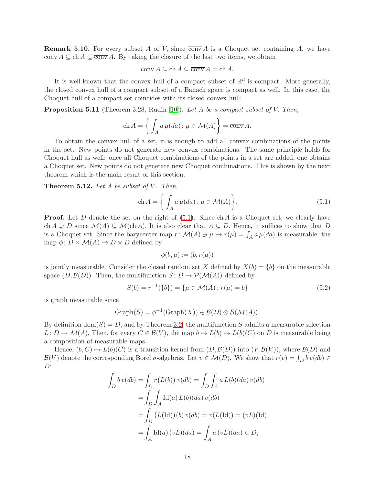**Remark 5.10.** For every subset A of V, since  $\overline{conv}A$  is a Choquet set containing A, we have conv  $A \subseteq \text{ch } A \subseteq \overline{\text{conv }} A$ . By taking the closure of the last two items, we obtain

$$
conv A \subseteq ch A \subseteq \overline{conv} A = ch A.
$$

It is well-known that the convex hull of a compact subset of  $\mathbb{R}^d$  is compact. More generally, the closed convex hull of a compact subset of a Banach space is compact as well. In this case, the Choquet hull of a compact set coincides with its closed convex hull:

**Proposition 5.11** (Theorem 3.28, Rudin [\[10\]](#page-34-9)). Let A be a compact subset of V. Then,

$$
\operatorname{ch} A = \left\{ \int_A a \,\mu(da) \colon \mu \in \mathcal{M}(A) \right\} = \overline{\operatorname{conv}} A.
$$

To obtain the convex hull of a set, it is enough to add all convex combinations of the points in the set. New points do not generate new convex combinations. The same principle holds for Choquet hull as well: once all Choquet combinations of the points in a set are added, one obtains a Choquet set. New points do not generate new Choquet combinations. This is shown by the next theorem which is the main result of this section:

<span id="page-17-0"></span>Theorem 5.12. Let  $A$  be subset of  $V$ . Then,

<span id="page-17-1"></span>
$$
\text{ch}\,A = \left\{ \int_{A} a \,\mu(da) \colon \mu \in \mathcal{M}(A) \right\}.
$$
\n(5.1)

**Proof.** Let D denote the set on the right of  $(5.1)$ . Since ch A is a Choquet set, we clearly have ch  $A \supseteq D$  since  $\mathcal{M}(A) \subseteq \mathcal{M}(\text{ch }A)$ . It is also clear that  $A \subseteq D$ . Hence, it suffices to show that D is a Choquet set. Since the barycenter map  $r: \mathcal{M}(A) \ni \mu \mapsto r(\mu) = \int_A a \mu(da)$  is measurable, the map  $\phi: D \times \mathcal{M}(A) \to D \times D$  defined by

$$
\phi(b,\mu) \coloneqq (b,r(\mu))
$$

is jointly measurable. Consider the closed random set X defined by  $X(b) = \{b\}$  on the measurable space  $(D,\mathcal{B}(D))$ . Then, the multifunction  $S: D \to \mathcal{P}(\mathcal{M}(A))$  defined by

<span id="page-17-2"></span>
$$
S(b) = r^{-1}(\{b\}) = \{\mu \in \mathcal{M}(A) : r(\mu) = b\}
$$
\n(5.2)

is graph measurable since

$$
Graph(S) = \phi^{-1}(Graph(X)) \in \mathcal{B}(D) \otimes \mathcal{B}(\mathcal{M}(A)).
$$

By definition  $\text{dom}(S) = D$ , and by Theorem [3.2,](#page-7-2) the multifunction S admits a measurable selection  $L: D \to \mathcal{M}(A)$ . Then, for every  $C \in \mathcal{B}(V)$ , the map  $b \mapsto L(b) \mapsto L(b)(C)$  on D is measurable being a composition of measurable maps.

Hence,  $(b, C) \mapsto L(b)(C)$  is a transition kernel from  $(D, \mathcal{B}(D))$  into  $(V, \mathcal{B}(V))$ , where  $\mathcal{B}(D)$  and  $\mathcal{B}(V)$  denote the corresponding Borel  $\sigma$ -algebras. Let  $v \in \mathcal{M}(D)$ . We show that  $r(v) = \int_D b v(db) \in$  $D$ :

$$
\int_{D} b v(db) = \int_{D} r(L(b)) v(db) = \int_{D} \int_{A} a L(b)(da) v(db)
$$

$$
= \int_{D} \int_{A} Id(a) L(b)(da) v(db)
$$

$$
= \int_{D} (L(\text{Id})) (b) v(db) = v(L(\text{Id})) = (vL)(\text{Id})
$$

$$
= \int_{A} \text{Id}(a) (vL)(da) = \int_{A} a (vL)(da) \in D,
$$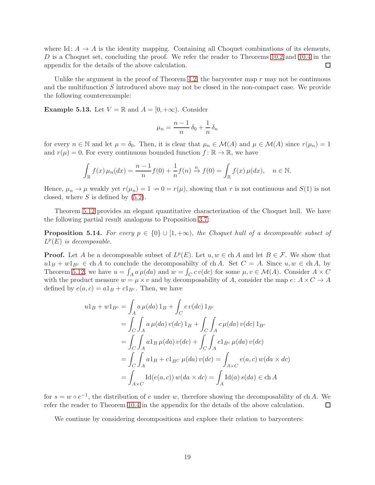where Id:  $A \rightarrow A$  is the identity mapping. Containing all Choquet combinations of its elements, D is a Choquet set, concluding the proof. We refer the reader to Theorems [10.2](#page-33-0) and [10.4](#page-34-10) in the  $\Box$ appendix for the details of the above calculation.

Unlike the argument in the proof of Theorem [4.2,](#page-13-0) the barycenter map  $r$  may not be continuous and the multifunction S introduced above may not be closed in the non-compact case. We provide the following counterexample:

**Example 5.13.** Let  $V = \mathbb{R}$  and  $A = [0, +\infty)$ . Consider

$$
\mu_n = \frac{n-1}{n} \, \delta_0 + \frac{1}{n} \, \delta_n
$$

for every  $n \in \mathbb{N}$  and let  $\mu = \delta_0$ . Then, it is clear that  $\mu_n \in \mathcal{M}(A)$  and  $\mu \in \mathcal{M}(A)$  since  $r(\mu_n) = 1$ and  $r(\mu) = 0$ . For every continuous bounded function  $f : \mathbb{R} \to \mathbb{R}$ , we have

$$
\int_{\mathbb{R}} f(x) \,\mu_n(dx) = \frac{n-1}{n} f(0) + \frac{1}{n} f(n) \xrightarrow{n} f(0) = \int_{\mathbb{R}} f(x) \,\mu(dx), \quad n \in \mathbb{N}.
$$

Hence,  $\mu_n \to \mu$  weakly yet  $r(\mu_n) = 1 \to 0 = r(\mu)$ , showing that r is not continuous and  $S(1)$  is not closed, where  $S$  is defined by  $(5.2)$ .

Theorem [5.12](#page-17-0) provides an elegant quantitative characterization of the Choquet hull. We have the following partial result analogous to Proposition [3.7:](#page-8-5)

<span id="page-18-0"></span>**Proposition 5.14.** For every  $p \in \{0\} \cup [1, +\infty)$ , the Choquet hull of a decomposable subset of  $L^p(E)$  is decomposable.

**Proof.** Let A be a decomposable subset of  $L^p(E)$ . Let  $u, w \in \text{ch } A$  and let  $B \in \mathcal{F}$ . We show that  $u1_B + w1_{B^c} \in ch A$  to conclude the decomposabilty of ch A. Set  $C = A$ . Since  $u, w \in ch A$ , by Theorem [5.12,](#page-17-0) we have  $u = \int_A a \mu(da)$  and  $w = \int_C c \, v(dc)$  for some  $\mu, v \in \mathcal{M}(A)$ . Consider  $A \times C$ with the product measure  $w = \mu \times v$  and by decomposability of A, consider the map  $e: A \times C \to A$ defined by  $e(a, c) = a1_B + c1_{B^c}$ . Then, we have

$$
u1_B + w1_{B^c} = \int_A a \,\mu(da) 1_B + \int_C c \,v(dc) 1_{B^c}
$$
  
= 
$$
\int_C \int_A a \,\mu(da) \,v(dc) 1_B + \int_C \int_A c \,\mu(da) \,v(dc) 1_{B^c}
$$
  
= 
$$
\int_C \int_A a1_B \,\mu(da) \,v(dc) + \int_C \int_A c1_{B^c} \,\mu(da) \,v(dc)
$$
  
= 
$$
\int_C \int_A a1_B + c1_{B^c} \,\mu(da) \,v(dc) = \int_{A \times C} e(a, c) \,w(da \times dc)
$$
  
= 
$$
\int_{A \times C} \text{Id}(e(a, c)) \,w(da \times dc) = \int_A \text{Id}(a) \,s(da) \in \text{ch } A
$$

for  $s = w \circ e^{-1}$ , the distribution of e under w, therefore showing the decomposability of ch A. We refer the reader to Theorem [10.4](#page-34-10) in the appendix for the details of the above calculation.  $\Box$ 

We continue by considering decompositions and explore their relation to barycenters: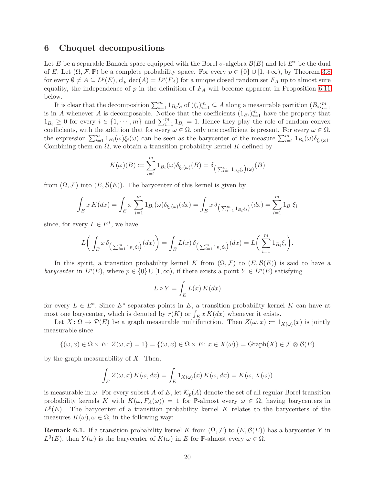## <span id="page-19-0"></span>6 Choquet decompositions

Let E be a separable Banach space equipped with the Borel  $\sigma$ -algebra  $\mathcal{B}(E)$  and let  $E^*$  be the dual of E. Let  $(\Omega, \mathcal{F}, \mathbb{P})$  be a complete probability space. For every  $p \in \{0\} \cup [1, +\infty)$ , by Theorem [3.8](#page-8-0) for every  $\emptyset \neq A \subseteq L^p(E)$ ,  $cl_p \text{ dec}(A) = L^p(F_A)$  for a unique closed random set  $F_A$  up to almost sure equality, the independence of  $p$  in the definition of  $F_A$  will become apparent in Proposition [6.11](#page-21-1) below.

It is clear that the decomposition  $\sum_{i=1}^m 1_{B_i} \xi_i$  of  $(\xi_i)_{i=1}^m \subseteq A$  along a measurable partition  $(B_i)_{i=1}^m$ is in A whenever A is decomposable. Notice that the coefficients  $(1_{B_i})_{i=1}^m$  have the property that  $1_{B_i} \geq 0$  for every  $i \in \{1, \dots, m\}$  and  $\sum_{i=1}^{m} 1_{B_i} = 1$ . Hence they play the role of random convex coefficients, with the addition that for every  $\omega \in \Omega$ , only one coefficient is present. For every  $\omega \in \Omega$ , the expression  $\sum_{i=1}^m 1_{B_i}(\omega)\xi_i(\omega)$  can be seen as the barycenter of the measure  $\sum_{i=1}^m 1_{B_i}(\omega)\delta_{\xi_i(\omega)}$ . Combining them on  $\Omega$ , we obtain a transition probability kernel K defined by

$$
K(\omega)(B) := \sum_{i=1}^{m} 1_{B_i}(\omega) \delta_{\xi_i(\omega)}(B) = \delta_{\left(\sum_{i=1}^{m} 1_{B_i} \xi_i\right)(\omega)}(B)
$$

from  $(\Omega, \mathcal{F})$  into  $(E, \mathcal{B}(E))$ . The barycenter of this kernel is given by

$$
\int_{E} x K(dx) = \int_{E} x \sum_{i=1}^{m} 1_{B_i}(\omega) \delta_{\xi_i(\omega)}(dx) = \int_{E} x \delta_{\left(\sum_{i=1}^{m} 1_{B_i} \xi_i\right)}(dx) = \sum_{i=1}^{m} 1_{B_i} \xi_i
$$

since, for every  $L \in E^*$ , we have

$$
L\bigg(\int_E x\,\delta_{\big(\sum_{i=1}^m 1_{B_i}\xi_i\big)}(dx)\bigg) = \int_E L(x)\,\delta_{\big(\sum_{i=1}^m 1_{B_i}\xi_i\big)}(dx) = L\bigg(\sum_{i=1}^m 1_{B_i}\xi_i\bigg).
$$

In this spirit, a transition probability kernel K from  $(\Omega, \mathcal{F})$  to  $(E, \mathcal{B}(E))$  is said to have a barycenter in  $L^p(E)$ , where  $p \in \{0\} \cup [1,\infty)$ , if there exists a point  $Y \in L^p(E)$  satisfying

$$
L \circ Y = \int_{E} L(x) K(dx)
$$

for every  $L \in E^*$ . Since  $E^*$  separates points in E, a transition probability kernel K can have at most one barycenter, which is denoted by  $r(K)$  or  $\int_E x K(dx)$  whenever it exists.

Let  $X: \Omega \to \mathcal{P}(E)$  be a graph measurable multifunction. Then  $Z(\omega, x) \coloneqq 1_{X(\omega)}(x)$  is jointly measurable since

$$
\{(\omega,x)\in\Omega\times E\colon Z(\omega,x)=1\}=\{(\omega,x)\in\Omega\times E\colon x\in X(\omega)\}=\mathrm{Graph}(X)\in\mathcal{F}\otimes\mathcal{B}(E)
$$

by the graph measurability of  $X$ . Then,

$$
\int_{E} Z(\omega, x) K(\omega, dx) = \int_{E} 1_{X(\omega)}(x) K(\omega, dx) = K(\omega, X(\omega))
$$

is measurable in  $\omega$ . For every subset A of E, let  $\mathcal{K}_p(A)$  denote the set of all regular Borel transition probability kernels K with  $K(\omega, F_A(\omega)) = 1$  for P-almost every  $\omega \in \Omega$ , having barycenters in  $L^p(E)$ . The barycenter of a transition probability kernel K relates to the barycenters of the measures  $K(\omega), \omega \in \Omega$ , in the following way:

**Remark 6.1.** If a transition probability kernel K from  $(\Omega, \mathcal{F})$  to  $(E, \mathcal{B}(E))$  has a barycenter Y in  $L^0(E)$ , then  $Y(\omega)$  is the barycenter of  $K(\omega)$  in E for P-almost every  $\omega \in \Omega$ .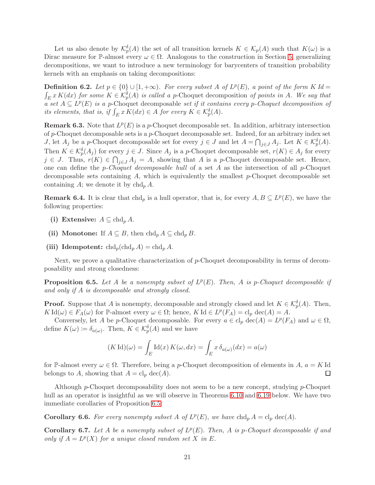Let us also denote by  $\mathcal{K}_p^{\delta}(A)$  the set of all transition kernels  $K \in \mathcal{K}_p(A)$  such that  $K(\omega)$  is a Dirac measure for P-almost every  $\omega \in \Omega$ . Analogous to the construction in Section [5,](#page-14-0) generalizing decompositions, we want to introduce a new terminology for barycenters of transition probability kernels with an emphasis on taking decompositions:

**Definition 6.2.** Let  $p \in \{0\} \cup [1, +\infty)$ . For every subset A of  $L^p(E)$ , a point of the form K Id =  $\int_E x K(dx)$  for some  $K \in \mathcal{K}_p^{\delta}(A)$  is called a p-Choquet decomposition of points in A. We say that a set  $A \subseteq L^p(E)$  is a p-Choquet decomposable set if it contains every p-Choquet decomposition of its elements, that is, if  $\int_E x K(dx) \in A$  for every  $K \in \mathcal{K}_p^{\delta}(A)$ .

**Remark 6.3.** Note that  $L^p(E)$  is a p-Choquet decomposable set. In addition, arbitrary intersection of p-Choquet decomposable sets is a p-Choquet decomposable set. Indeed, for an arbitrary index set *J*, let  $A_j$  be a p-Choquet decomposable set for every  $j \in J$  and let  $A = \bigcap_{j \in J} A_j$ . Let  $K \in \mathcal{K}_p^{\delta}(A)$ . Then  $K \in \mathcal{K}_p^{\delta}(A_j)$  for every  $j \in J$ . Since  $A_j$  is a p-Choquet decomposable set,  $r(K) \in A_j$  for every  $j \in J$ . Thus,  $r(K) \in \bigcap_{j \in J} A_j = A$ , showing that A is a p-Choquet decomposable set. Hence, one can define the p-Choquet decomposable hull of a set A as the intersection of all p-Choquet decomposable sets containing  $A$ , which is equivalently the smallest p-Choquet decomposable set containing A; we denote it by  $ch d<sub>p</sub> A$ .

**Remark 6.4.** It is clear that chd<sub>p</sub> is a hull operator, that is, for every  $A, B \subseteq L^p(E)$ , we have the following properties:

- (i) Extensive:  $A \subseteq \text{chd}_p A$ .
- (ii) Monotone: If  $A \subseteq B$ , then  $\text{chd}_p A \subseteq \text{chd}_p B$ .
- (iii) Idempotent:  $\operatorname{chd}_p(\operatorname{chd}_p A) = \operatorname{chd}_p A$ .

Next, we prove a qualitative characterization of p-Choquet decomposability in terms of decomposability and strong closedness:

<span id="page-20-0"></span>**Proposition 6.5.** Let A be a nonempty subset of  $L^p(E)$ . Then, A is p-Choquet decomposable if and only if A is decomposable and strongly closed.

**Proof.** Suppose that A is nonempty, decomposable and strongly closed and let  $K \in \mathcal{K}_p^{\delta}(A)$ . Then,  $K \mathrm{Id}(\omega) \in F_A(\omega)$  for  $\mathbb P$ -almost every  $\omega \in \Omega$ ; hence,  $K \mathrm{Id} \in L^p(F_A) = \mathrm{cl}_p \mathrm{dec}(A) = A$ .

Conversely, let A be p-Choquet decomposable. For every  $a \in \text{cl}_p \text{dec}(A) = L^p(F_A)$  and  $\omega \in \Omega$ , define  $K(\omega) \coloneqq \delta_{a(\omega)}$ . Then,  $K \in \mathcal{K}_p^{\delta}(A)$  and we have

$$
(K \operatorname{Id})(\omega) = \int_E \operatorname{Id}(x) K(\omega, dx) = \int_E x \, \delta_{a(\omega)}(dx) = a(\omega)
$$

for P-almost every  $\omega \in \Omega$ . Therefore, being a p-Choquet decomposition of elements in A,  $a = K$ Id belongs to A, showing that  $A = \text{cl}_p \text{dec}(A)$ .  $\Box$ 

Although p-Choquet decomposability does not seem to be a new concept, studying p-Choquet hull as an operator is insightful as we will observe in Theorems [6.10](#page-21-0) and [6.19](#page-24-0) below. We have two immediate corollaries of Proposition [6.5:](#page-20-0)

<span id="page-20-1"></span>**Corollary 6.6.** For every nonempty subset A of  $L^p(E)$ , we have  $\text{chd}_p A = \text{cl}_p \text{dec}(A)$ .

<span id="page-20-2"></span>**Corollary 6.7.** Let A be a nonempty subset of  $L^p(E)$ . Then, A is p-Choquet decomposable if and only if  $A = L^p(X)$  for a unique closed random set X in E.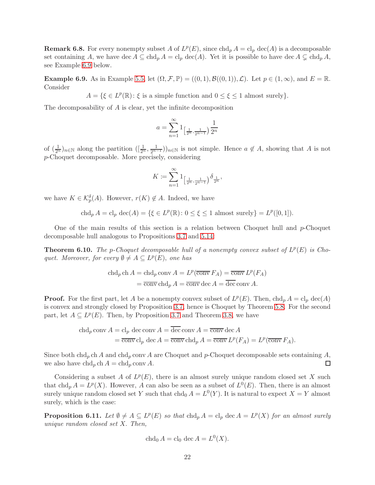**Remark 6.8.** For every nonempty subset A of  $L^p(E)$ , since  $\text{chd}_p A = \text{cl}_p \text{ dec}(A)$  is a decomposable set containing A, we have dec  $A \subseteq \text{chd}_p A = \text{cl}_p \text{ dec}(A)$ . Yet it is possible to have dec  $A \subsetneq \text{chd}_p A$ , see Example [6.9](#page-21-2) below.

<span id="page-21-2"></span>**Example 6.9.** As in Example [5.5,](#page-15-0) let  $(\Omega, \mathcal{F}, \mathbb{P}) = ((0, 1), \mathcal{B}((0, 1)), \mathcal{L})$ . Let  $p \in (1, \infty)$ , and  $E = \mathbb{R}$ . Consider

 $A = \{ \xi \in L^p(\mathbb{R}) : \xi \text{ is a simple function and } 0 \leq \xi \leq 1 \text{ almost surely} \}.$ 

The decomposability of A is clear, yet the infinite decomposition

$$
a = \sum_{n=1}^\infty 1_{\left[\frac{1}{2^n}, \frac{1}{2^{n-1}}\right)} \frac{1}{2^n}
$$

of  $(\frac{1}{2^n})_{n\in\mathbb{N}}$  along the partition  $(\frac{1}{2^n}, \frac{1}{2^{n-1}})_{n\in\mathbb{N}}$  is not simple. Hence  $a \notin A$ , showing that A is not p-Choquet decomposable. More precisely, considering

$$
K \coloneqq \sum_{n=1}^{\infty} 1_{\left[\frac{1}{2^n}, \frac{1}{2^{n-1}}\right)} \delta_{\frac{1}{2^n}},
$$

we have  $K \in \mathcal{K}_p^{\delta}(A)$ . However,  $r(K) \notin A$ . Indeed, we have

$$
\operatorname{chd}_p A = \operatorname{cl}_p \operatorname{dec}(A) = \{ \xi \in L^p(\mathbb{R}) \colon 0 \le \xi \le 1 \text{ almost surely} \} = L^p([0, 1]).
$$

One of the main results of this section is a relation between Choquet hull and  $p$ -Choquet decomposable hull analogous to Propositions [3.7](#page-8-5) and [5.14:](#page-18-0)

<span id="page-21-0"></span>**Theorem 6.10.** The p-Choquet decomposable hull of a nonempty convex subset of  $L^p(E)$  is Choquet. Moreover, for every  $\emptyset \neq A \subseteq L^p(E)$ , one has

$$
\operatorname{chd}_p \operatorname{ch} A = \operatorname{chd}_p \operatorname{conv} A = L^p(\overline{\operatorname{conv}} F_A) = \overline{\operatorname{conv}} L^p(F_A)
$$

$$
= \overline{\operatorname{conv}} \operatorname{chd}_p A = \overline{\operatorname{conv}} \operatorname{dec} A = \overline{\operatorname{dec}} \operatorname{conv} A.
$$

**Proof.** For the first part, let A be a nonempty convex subset of  $L^p(E)$ . Then,  $\text{chd}_p A = \text{cl}_p \text{dec}(A)$ is convex and strongly closed by Proposition [3.7,](#page-8-5) hence is Choquet by Theorem [5.8.](#page-16-0) For the second part, let  $A \subseteq L^p(E)$ . Then, by Proposition [3.7](#page-8-5) and Theorem [3.8,](#page-8-0) we have

chd<sub>p</sub> conv A = cl<sub>p</sub> dec conv A = 
$$
\overline{\text{dev}}
$$
 conv A =  $\overline{\text{conv}}$  dec A  
=  $\overline{\text{conv}}$  cl<sub>p</sub> dec A =  $\overline{\text{conv}}$  chd<sub>p</sub> A =  $\overline{\text{conv}} L^p(F_A) = L^p(\overline{\text{conv}} F_A)$ .

Since both chd<sub>p</sub> ch A and chd<sub>p</sub> conv A are Choquet and p-Choquet decomposable sets containing A, we also have  $\text{chd}_p \text{ ch } A = \text{chd}_p \text{ conv } A$ .  $\Box$ 

Considering a subset A of  $L^p(E)$ , there is an almost surely unique random closed set X such that chd<sub>p</sub>  $A = L^p(X)$ . However, A can also be seen as a subset of  $L^0(E)$ . Then, there is an almost surely unique random closed set Y such that  $chd_0 A = L^0(Y)$ . It is natural to expect  $X = Y$  almost surely, which is the case:

<span id="page-21-1"></span>**Proposition 6.11.** Let  $\emptyset \neq A \subseteq L^p(E)$  so that  $chd_p A = cl_p \text{ dec } A = L^p(X)$  for an almost surely unique random closed set X. Then,

$$
\operatorname{chd}_0 A = \operatorname{cl}_0 \operatorname{dec} A = L^0(X).
$$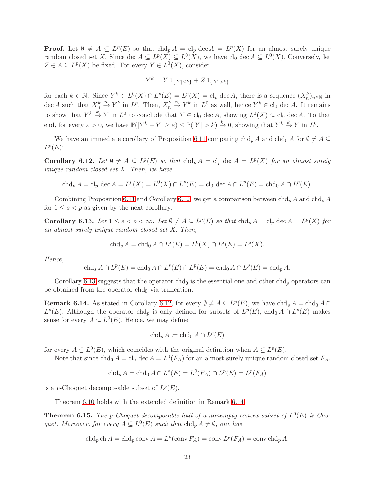**Proof.** Let  $\emptyset \neq A \subseteq L^p(E)$  so that  $chd_p A = cl_p \text{ dec } A = L^p(X)$  for an almost surely unique random closed set X. Since  $\text{dec } A \subseteq L^p(X) \subseteq L^0(X)$ , we have  $\text{cl}_0 \text{ dec } A \subseteq L^0(X)$ . Conversely, let  $Z \in A \subseteq L^p(X)$  be fixed. For every  $Y \in L^0(X)$ , consider

$$
Y^k = Y \mathbf{1}_{\{|Y| \le k\}} + Z \mathbf{1}_{\{|Y| > k\}}
$$

for each  $k \in \mathbb{N}$ . Since  $Y^k \in L^0(X) \cap L^p(E) = L^p(X) = \text{cl}_p \text{ dec } A$ , there is a sequence  $(X_n^k)_{n \in \mathbb{N}}$  in dec A such that  $X_n^k \stackrel{n}{\to} Y^k$  in  $L^p$ . Then,  $X_n^k \stackrel{n}{\to} Y^k$  in  $L^0$  as well, hence  $Y^k \in \text{cl}_0$  dec A. It remains to show that  $Y^k \stackrel{k}{\to} Y$  in  $L^0$  to conclude that  $Y \in \text{cl}_0$  dec A, showing  $L^0(X) \subseteq \text{cl}_0$  dec A. To that end, for every  $\varepsilon > 0$ , we have  $\mathbb{P}(|Y^k - Y| \ge \varepsilon) \le \mathbb{P}(|Y| > k) \stackrel{k}{\to} 0$ , showing that  $Y^k \stackrel{k}{\to} Y$  in  $L^0$ .

We have an immediate corollary of Proposition [6.11](#page-21-1) comparing  $\text{chd}_p A$  and  $\text{chd}_0 A$  for  $\emptyset \neq A \subseteq$  $L^p(E)$ :

<span id="page-22-1"></span>**Corollary 6.12.** Let  $\emptyset \neq A \subseteq L^p(E)$  so that  $ch d_p A = cl_p \, dec \, A = L^p(X)$  for an almost surely unique random closed set X. Then, we have

$$
\operatorname{chd}_p A = \operatorname{cl}_p \operatorname{dec} A = L^p(X) = L^0(X) \cap L^p(E) = \operatorname{cl}_0 \operatorname{dec} A \cap L^p(E) = \operatorname{chd}_0 A \cap L^p(E).
$$

Combining Proposition [6.11](#page-21-1) and Corollary [6.12,](#page-22-1) we get a comparison between  $ch_{p} A$  and  $ch_{s} A$ for  $1 \leq s < p$  as given by the next corollary.

<span id="page-22-2"></span>**Corollary 6.13.** Let  $1 \leq s < p < \infty$ . Let  $\emptyset \neq A \subseteq L^p(E)$  so that  $\text{chd}_p A = \text{cl}_p \text{ dec } A = L^p(X)$  for an almost surely unique random closed set X. Then,

$$
\operatorname{chd}_s A = \operatorname{chd}_0 A \cap L^s(E) = L^0(X) \cap L^s(E) = L^s(X).
$$

Hence,

$$
\operatorname{chd}_s A \cap L^p(E) = \operatorname{chd}_0 A \cap L^s(E) \cap L^p(E) = \operatorname{chd}_0 A \cap L^p(E) = \operatorname{chd}_p A.
$$

Corollary [6.13](#page-22-2) suggests that the operator chd<sub>0</sub> is the essential one and other chd<sub>p</sub> operators can be obtained from the operator  $chd_0$  via truncation.

<span id="page-22-3"></span>**Remark 6.14.** As stated in Corollary [6.12,](#page-22-1) for every  $\emptyset \neq A \subseteq L^p(E)$ , we have  $\text{chd}_p A = \text{chd}_0 A \cap$  $L^p(E)$ . Although the operator chd<sub>p</sub> is only defined for subsets of  $L^p(E)$ , chd<sub>0</sub>  $A \cap L^p(E)$  makes sense for every  $A \subseteq L^0(E)$ . Hence, we may define

$$
\operatorname{chd}_p A \coloneqq \operatorname{chd}_0 A \cap L^p(E)
$$

for every  $A \subseteq L^0(E)$ , which coincides with the original definition when  $A \subseteq L^p(E)$ .

Note that since  $chd_0 A = cl_0 \text{ dec } A = L^0(F_A)$  for an almost surely unique random closed set  $F_A$ ,

$$
\operatorname{chd}_p A = \operatorname{chd}_0 A \cap L^p(E) = L^0(F_A) \cap L^p(E) = L^p(F_A)
$$

is a *p*-Choquet decomposable subset of  $L^p(E)$ .

Theorem [6.10](#page-21-0) holds with the extended definition in Remark [6.14.](#page-22-3)

<span id="page-22-0"></span>**Theorem 6.15.** The p-Choquet decomposable hull of a nonempty convex subset of  $L^0(E)$  is Choquet. Moreover, for every  $A \subseteq L^0(E)$  such that  $\text{chd}_p A \neq \emptyset$ , one has

 $\operatorname{chd}_p \operatorname{ch} A = \operatorname{chd}_p \operatorname{conv} A = L^p(\overline{\operatorname{conv}} F_A) = \overline{\operatorname{conv}} L^p(F_A) = \overline{\operatorname{conv}} \operatorname{chd}_p A.$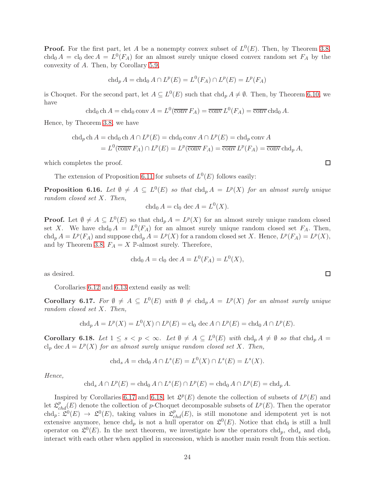**Proof.** For the first part, let A be a nonempty convex subset of  $L^0(E)$ . Then, by Theorem [3.8,](#page-8-0) chd<sub>0</sub>  $A = cl_0$  dec  $A = L^0(F_A)$  for an almost surely unique closed convex random set  $F_A$  by the convexity of A. Then, by Corollary [5.9,](#page-16-1)

$$
\operatorname{chd}_p A = \operatorname{chd}_0 A \cap L^p(E) = L^0(F_A) \cap L^p(E) = L^p(F_A)
$$

is Choquet. For the second part, let  $A \subseteq L^0(E)$  such that  $\text{chd}_p A \neq \emptyset$ . Then, by Theorem [6.10,](#page-21-0) we have

chd<sub>0</sub> ch 
$$
A =
$$
chd<sub>0</sub> conv  $A = L^0(\overline{\text{conv}} F_A) = \overline{\text{conv}} L^0(F_A) = \overline{\text{conv}} \text{chd}_0 A$ .

Hence, by Theorem [3.8,](#page-8-0) we have

chd<sub>p</sub> ch 
$$
A =
$$
 chd<sub>0</sub> ch  $A \cap L^p(E) =$  chd<sub>0</sub> conv  $A \cap L^p(E) =$  chd<sub>p</sub> conv  $A$   
=  $L^0(\overline{\text{conv}} F_A) \cap L^p(E) = L^p(\overline{\text{conv}} F_A) = \overline{\text{conv}} L^p(F_A) = \overline{\text{conv}} \text{chd}_p A$ ,

which completes the proof.

The extension of Proposition [6.11](#page-21-1) for subsets of  $L^0(E)$  follows easily:

<span id="page-23-2"></span>**Proposition 6.16.** Let  $\emptyset \neq A \subseteq L^0(E)$  so that  $chd_p A = L^p(X)$  for an almost surely unique random closed set X. Then,

$$
\operatorname{chd}_0 A = \operatorname{cl}_0 \operatorname{dec} A = L^0(X).
$$

**Proof.** Let  $\emptyset \neq A \subseteq L^0(E)$  so that  $chd_p A = L^p(X)$  for an almost surely unique random closed set X. We have chd<sub>0</sub>  $A = L^{0}(F_{A})$  for an almost surely unique random closed set  $F_{A}$ . Then,  $chd_p A = L^p(F_A)$  and suppose  $chd_p A = L^p(X)$  for a random closed set X. Hence,  $L^p(F_A) = L^p(X)$ , and by Theorem [3.8,](#page-8-0)  $F_A=X$   $\mathbb P\text{-}\mathrm{almost}$  surely. Therefore,

chd<sub>0</sub> 
$$
A = \text{cl}_0 \text{ dec } A = L^0(F_A) = L^0(X),
$$

as desired.

Corollaries [6.12](#page-22-1) and [6.13](#page-22-2) extend easily as well:

<span id="page-23-0"></span>**Corollary 6.17.** For  $\emptyset \neq A \subseteq L^0(E)$  with  $\emptyset \neq \text{chd}_p A = L^p(X)$  for an almost surely unique random closed set X. Then,

$$
\operatorname{chd}_p A = L^p(X) = L^0(X) \cap L^p(E) = \operatorname{cl}_0 \operatorname{dec} A \cap L^p(E) = \operatorname{chd}_0 A \cap L^p(E).
$$

<span id="page-23-1"></span>**Corollary 6.18.** Let  $1 \leq s < p < \infty$ . Let  $\emptyset \neq A \subseteq L^0(E)$  with  $\text{chd}_p A \neq \emptyset$  so that  $\text{chd}_p A =$ cl<sub>p</sub> dec  $A = L^p(X)$  for an almost surely unique random closed set X. Then,

$$
\operatorname{chd}_s A = \operatorname{chd}_0 A \cap L^s(E) = L^0(X) \cap L^s(E) = L^s(X).
$$

Hence,

$$
\operatorname{chd}_s A \cap L^p(E) = \operatorname{chd}_0 A \cap L^s(E) \cap L^p(E) = \operatorname{chd}_0 A \cap L^p(E) = \operatorname{chd}_p A.
$$

Inspired by Corollaries [6.17](#page-23-0) and [6.18,](#page-23-1) let  $\mathcal{L}^p(E)$  denote the collection of subsets of  $L^p(E)$  and let  $\mathcal{L}_{chd}^{p}(E)$  denote the collection of p-Choquet decomposable subsets of  $L^{p}(E)$ . Then the operator  $ch d_p: \mathfrak{L}^0(E) \to \mathfrak{L}^0(E)$ , taking values in  $\mathfrak{L}_{chd}^p(E)$ , is still monotone and idempotent yet is not extensive anymore, hence chd<sub>p</sub> is not a hull operator on  $\mathfrak{L}^0(E)$ . Notice that chd<sub>0</sub> is still a hull operator on  $\mathfrak{L}^0(E)$ . In the next theorem, we investigate how the operators chd<sub>p</sub>, chd<sub>s</sub> and chd<sub>0</sub> interact with each other when applied in succession, which is another main result from this section.

 $\Box$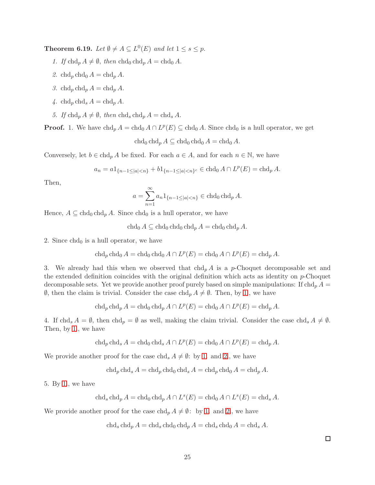<span id="page-24-1"></span><span id="page-24-0"></span>**Theorem 6.19.** Let  $\emptyset \neq A \subseteq L^0(E)$  and let  $1 \leq s \leq p$ .

- <span id="page-24-2"></span>1. If  $\text{chd}_p A \neq \emptyset$ , then  $\text{chd}_0 \text{chd}_p A = \text{chd}_0 A$ .
- <span id="page-24-4"></span>2. chd<sub>p</sub> chd<sub>0</sub>  $A = chd<sub>p</sub> A$ .
- <span id="page-24-5"></span>3. chd<sub>p</sub> chd<sub>p</sub>  $A = chd<sub>p</sub> A$ .
- <span id="page-24-3"></span>4. chd<sub>n</sub> chd<sub>s</sub>  $A = chd_n A$ .
- 5. If  $ch d_p A \neq \emptyset$ , then  $ch d_s ch d_p A = ch d_s A$ .

**Proof.** 1. We have  $\text{chd}_p A = \text{chd}_0 A \cap L^p(E) \subseteq \text{chd}_0 A$ . Since  $\text{chd}_0$  is a hull operator, we get

$$
\operatorname{chd}_0 \operatorname{chd}_p A \subseteq \operatorname{chd}_0 \operatorname{chd}_0 A = \operatorname{chd}_0 A.
$$

Conversely, let  $b \in \text{chd}_p A$  be fixed. For each  $a \in A$ , and for each  $n \in \mathbb{N}$ , we have

$$
a_n = a1_{\{n-1 \le |a| < n\}} + b1_{\{n-1 \le |a| < n\}^c} \in \operatorname{chd}_0 A \cap L^p(E) = \operatorname{chd}_p A.
$$

Then,

$$
a = \sum_{n=1}^{\infty} a_n 1_{\{n-1 \le |a| < n\}} \in \text{chd}_0 \,\text{chd}_p \, A.
$$

Hence,  $A \subseteq \text{chd}_0 \text{chd}_p A$ . Since  $\text{chd}_0$  is a hull operator, we have

 $chd_0 A \subseteq chd_0 chd_0 chd_p A = chd_0 chd_p A$ .

2. Since  $chd<sub>0</sub>$  is a hull operator, we have

$$
\operatorname{chd}_p \operatorname{chd}_0 A = \operatorname{chd}_0 \operatorname{chd}_0 A \cap L^p(E) = \operatorname{chd}_0 A \cap L^p(E) = \operatorname{chd}_p A.
$$

3. We already had this when we observed that  $\text{ch}_p A$  is a p-Choquet decomposable set and the extended definition coincides with the original definition which acts as identity on  $p$ -Choquet decomposable sets. Yet we provide another proof purely based on simple manipulations: If  $\text{chd}_p A$  =  $\emptyset$ , then the claim is trivial. Consider the case chd<sub>p</sub>  $A \neq \emptyset$ . Then, by [1.](#page-24-1), we have

$$
\operatorname{chd}_p \operatorname{chd}_p A = \operatorname{chd}_0 \operatorname{chd}_p A \cap L^p(E) = \operatorname{chd}_0 A \cap L^p(E) = \operatorname{chd}_p A.
$$

4. If chd<sub>s</sub>  $A = \emptyset$ , then chd<sub>p</sub> =  $\emptyset$  as well, making the claim trivial. Consider the case chd<sub>s</sub>  $A \neq \emptyset$ . Then, by [1.](#page-24-1), we have

$$
\operatorname{chd}_p \operatorname{chd}_s A = \operatorname{chd}_0 \operatorname{chd}_s A \cap L^p(E) = \operatorname{chd}_0 A \cap L^p(E) = \operatorname{chd}_p A.
$$

We provide another proof for the case chd<sub>s</sub>  $A \neq \emptyset$ : by [1.](#page-24-1) and [2.](#page-24-2), we have

 $\ch d_n \ch d_s A = \ch d_n \ch d_0 \ch d_s A = \ch d_n \ch d_0 A = \ch d_n A$ .

5. By [1.](#page-24-1), we have

$$
\operatorname{chd}_s \operatorname{chd}_p A = \operatorname{chd}_0 \operatorname{chd}_p A \cap L^s(E) = \operatorname{chd}_0 A \cap L^s(E) = \operatorname{chd}_s A.
$$

We provide another proof for the case  $\text{chd}_p A \neq \emptyset$ : by [1.](#page-24-1) and [2.](#page-24-2), we have

$$
\operatorname{chd}_s \operatorname{chd}_p A = \operatorname{chd}_s \operatorname{chd}_0 \operatorname{chd}_p A = \operatorname{chd}_s \operatorname{chd}_0 A = \operatorname{chd}_s A.
$$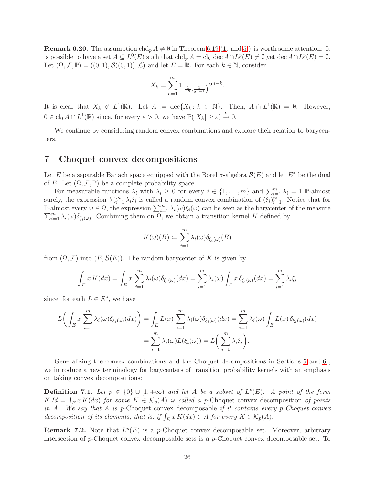**Remark 6.20.** The assumption  $\text{chd}_p A \neq \emptyset$  in Theorem [6.19](#page-24-0) [\(1.](#page-24-1) and [5.](#page-24-3)) is worth some attention: It is possible to have a set  $A \subseteq L^0(E)$  such that  $\text{chd}_p A = \text{cl}_0 \text{ dec } A \cap L^p(E) \neq \emptyset$  yet  $\text{dec } A \cap L^p(E) = \emptyset$ . Let  $(\Omega, \mathcal{F}, \mathbb{P}) = ((0, 1), \mathcal{B}((0, 1)), \mathcal{L})$  and let  $E = \mathbb{R}$ . For each  $k \in \mathbb{N}$ , consider

$$
X_k = \sum_{n=1}^{\infty} 1_{\left[\frac{1}{2^n}, \frac{1}{2^{n-1}}\right]} 2^{n-k}.
$$

It is clear that  $X_k \notin L^1(\mathbb{R})$ . Let  $A := \text{dec}\{X_k : k \in \mathbb{N}\}$ . Then,  $A \cap L^1(\mathbb{R}) = \emptyset$ . However,  $0 \in \text{cl}_0 A \cap L^1(\mathbb{R})$  since, for every  $\varepsilon > 0$ , we have  $\mathbb{P}(|X_k| \geq \varepsilon) \stackrel{k}{\to} 0$ .

We continue by considering random convex combinations and explore their relation to barycenters.

## <span id="page-25-0"></span>7 Choquet convex decompositions

Let E be a separable Banach space equipped with the Borel  $\sigma$ -algebra  $\mathcal{B}(E)$  and let  $E^*$  be the dual of E. Let  $(\Omega, \mathcal{F}, \mathbb{P})$  be a complete probability space.

For measurable functions  $\lambda_i$  with  $\lambda_i \geq 0$  for every  $i \in \{1, ..., m\}$  and  $\sum_{i=1}^{m} \lambda_i = 1$  P-almost surely, the expression  $\sum_{i=1}^{m} \lambda_i \xi_i$  is called a random convex combination of  $(\xi_i)_{i=1}^m$ . Notice that for P-almost every  $\omega \in \Omega$ , the expression  $\sum_{i=1}^{m} \lambda_i(\omega) \xi_i(\omega)$  can be seen as the barycenter of the measure  $\sum_{i=1}^{m} \lambda_i(\omega) \delta_{\xi_i(\omega)}$ . Combining them on  $\Omega$ , we obtain a transition kernel K defined by

$$
K(\omega)(B) \coloneqq \sum_{i=1}^{m} \lambda_i(\omega) \delta_{\xi_i(\omega)}(B)
$$

from  $(\Omega, \mathcal{F})$  into  $(E, \mathcal{B}(E))$ . The random barycenter of K is given by

$$
\int_{E} x K(dx) = \int_{E} x \sum_{i=1}^{m} \lambda_{i}(\omega) \delta_{\xi_{i}(\omega)}(dx) = \sum_{i=1}^{m} \lambda_{i}(\omega) \int_{E} x \delta_{\xi_{i}(\omega)}(dx) = \sum_{i=1}^{m} \lambda_{i} \xi_{i}
$$

since, for each  $L \in E^*$ , we have

$$
L\bigg(\int_E x \sum_{i=1}^m \lambda_i(\omega) \delta_{\xi_i(\omega)}(dx)\bigg) = \int_E L(x) \sum_{i=1}^m \lambda_i(\omega) \delta_{\xi_i(\omega)}(dx) = \sum_{i=1}^m \lambda_i(\omega) \int_E L(x) \delta_{\xi_i(\omega)}(dx)
$$

$$
= \sum_{i=1}^m \lambda_i(\omega) L(\xi_i(\omega)) = L\bigg(\sum_{i=1}^m \lambda_i \xi_i\bigg).
$$

Generalizing the convex combinations and the Choquet decompositions in Sections [5](#page-14-0) and [6](#page-19-0) , we introduce a new terminology for barycenters of transition probability kernels with an emphasis on taking convex decompositions:

**Definition 7.1.** Let  $p \in \{0\} \cup [1, +\infty)$  and let A be a subset of  $L^p(E)$ . A point of the form  $K Id = \int_{E} x K(dx)$  for some  $K \in \mathcal{K}_p(A)$  is called a p-Choquet convex decomposition of points in A. We say that A is p-Choquet convex decomposable if it contains every p-Choquet convex decomposition of its elements, that is, if  $\int_E x K(dx) \in A$  for every  $K \in \mathcal{K}_p(A)$ .

**Remark 7.2.** Note that  $L^p(E)$  is a p-Choquet convex decomposable set. Moreover, arbitrary intersection of  $p$ -Choquet convex decomposable sets is a  $p$ -Choquet convex decomposable set. To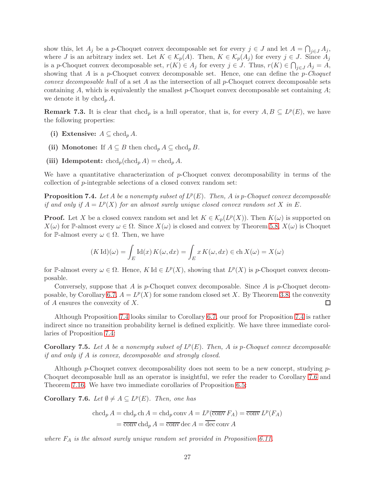show this, let  $A_j$  be a p-Choquet convex decomposable set for every  $j \in J$  and let  $A = \bigcap_{j \in J} A_j$ , where J is an arbitrary index set. Let  $K \in \mathcal{K}_p(A)$ . Then,  $K \in \mathcal{K}_p(A_j)$  for every  $j \in J$ . Since  $A_j$ is a *p*-Choquet convex decomposable set,  $r(K) \in A_j$  for every  $j \in J$ . Thus,  $r(K) \in \bigcap_{j \in J} A_j = A$ , showing that A is a p-Choquet convex decomposable set. Hence, one can define the p-Choquet *convex decomposable hull* of a set A as the intersection of all  $p$ -Choquet convex decomposable sets containing A, which is equivalently the smallest p-Choquet convex decomposable set containing  $A$ ; we denote it by  $chcd_p A$ .

**Remark 7.3.** It is clear that chcd<sub>p</sub> is a hull operator, that is, for every  $A, B \subseteq L^p(E)$ , we have the following properties:

- (i) Extensive:  $A \subseteq \text{chcd}_p A$ .
- (ii) Monotone: If  $A \subseteq B$  then  $chcd_p A \subseteq chcd_p B$ .
- (iii) Idempotent:  $\operatorname{chcd}_p(\operatorname{chcd}_p A) = \operatorname{chcd}_p A$ .

We have a quantitative characterization of  $p$ -Choquet convex decomposability in terms of the collection of p-integrable selections of a closed convex random set:

<span id="page-26-0"></span>**Proposition 7.4.** Let A be a nonempty subset of  $L^p(E)$ . Then, A is p-Choquet convex decomposable if and only if  $A = L^p(X)$  for an almost surely unique closed convex random set X in E.

**Proof.** Let X be a closed convex random set and let  $K \in \mathcal{K}_p(L^p(X))$ . Then  $K(\omega)$  is supported on  $X(\omega)$  for P-almost every  $\omega \in \Omega$ . Since  $X(\omega)$  is closed and convex by Theorem [5.8,](#page-16-0)  $X(\omega)$  is Choquet for P-almost every  $\omega \in \Omega$ . Then, we have

$$
(K\operatorname{Id})(\omega) = \int_{E} \operatorname{Id}(x) K(\omega, dx) = \int_{E} x K(\omega, dx) \in \operatorname{ch} X(\omega) = X(\omega)
$$

for P-almost every  $\omega \in \Omega$ . Hence, K Id  $\in L^p(X)$ , showing that  $L^p(X)$  is p-Choquet convex decomposable.

Conversely, suppose that A is p-Choquet convex decomposable. Since A is p-Choquet decom-posable, by Corollary [6.7,](#page-20-2)  $A = L^p(X)$  for some random closed set X. By Theorem [3.8,](#page-8-0) the convexity of  $A$  ensures the convexity of  $X$ . □

Although Proposition [7.4](#page-26-0) looks similar to Corollary [6.7,](#page-20-2) our proof for Proposition [7.4](#page-26-0) is rather indirect since no transition probability kernel is defined explicitly. We have three immediate corollaries of Proposition [7.4:](#page-26-0)

<span id="page-26-1"></span>**Corollary 7.5.** Let A be a nonempty subset of  $L^p(E)$ . Then, A is p-Choquet convex decomposable if and only if A is convex, decomposable and strongly closed.

Although p-Choquet convex decomposability does not seem to be a new concept, studying p-Choquet decomposable hull as an operator is insightful, we refer the reader to Corollary [7.6](#page-26-2) and Theorem [7.16.](#page-29-0) We have two immediate corollaries of Proposition [6.5:](#page-20-0)

<span id="page-26-2"></span>**Corollary 7.6.** Let  $\emptyset \neq A \subseteq L^p(E)$ . Then, one has

$$
\operatorname{chcd}_p A = \operatorname{chd}_p \operatorname{ch} A = \operatorname{chd}_p \operatorname{conv} A = L^p(\overline{\operatorname{conv}} F_A) = \overline{\operatorname{conv}} L^p(F_A)
$$

$$
= \overline{\operatorname{conv}} \operatorname{chd}_p A = \overline{\operatorname{conv}} \operatorname{dec} A = \overline{\operatorname{dec}} \operatorname{conv} A
$$

where  $F_A$  is the almost surely unique random set provided in Proposition [6.11.](#page-21-1)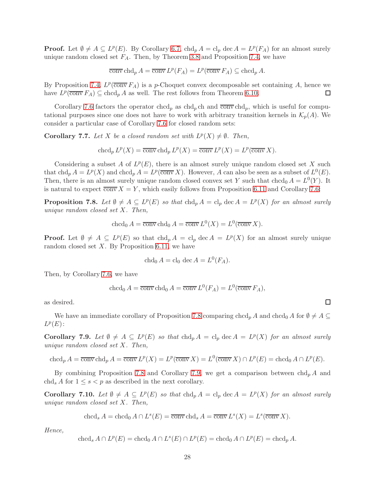**Proof.** Let  $\emptyset \neq A \subseteq L^p(E)$ . By Corollary [6.7,](#page-20-2)  $\text{chd}_p A = \text{cl}_p \text{ dec } A = L^p(F_A)$  for an almost surely unique random closed set  $F_A$ . Then, by Theorem [3.8](#page-8-0) and Proposition [7.4,](#page-26-0) we have

$$
\overline{\text{conv}}\operatorname{chd}_p A = \overline{\text{conv}}\, L^p(F_A) = L^p(\overline{\text{conv}}\, F_A) \subseteq \operatorname{chcd}_p A.
$$

By Proposition [7.4,](#page-26-0)  $L^p(\overline{\text{conv}} F_A)$  is a p-Choquet convex decomposable set containing A, hence we have  $L^p(\overline{\text{conv}} F_A) \subseteq \text{chcd}_p A$  as well. The rest follows from Theorem [6.10.](#page-21-0) □

Corollary [7.6](#page-26-2) factors the operator chcd<sub>p</sub> as chd<sub>p</sub> ch and  $\overline{conv}$  chd<sub>p</sub>, which is useful for computational purposes since one does not have to work with arbitrary transition kernels in  $\mathcal{K}_p(A)$ . We consider a particular case of Corollary [7.6](#page-26-2) for closed random sets:

**Corollary 7.7.** Let X be a closed random set with  $L^p(X) \neq \emptyset$ . Then,

$$
ch\operatorname{cd}_p L^p(X) = \overline{\operatorname{conv}} \operatorname{chd}_p L^p(X) = \overline{\operatorname{conv}} L^p(X) = L^p(\overline{\operatorname{conv}} X).
$$

Considering a subset A of  $L^p(E)$ , there is an almost surely unique random closed set X such that chd<sub>p</sub>  $A = L^p(X)$  and chcd<sub>p</sub>  $A = L^p(\overline{\text{conv}} X)$ . However, A can also be seen as a subset of  $L^0(E)$ . Then, there is an almost surely unique random closed convex set Y such that  $chcd_0 A = L^0(Y)$ . It is natural to expect  $\overline{conv} X = Y$ , which easily follows from Proposition [6.11](#page-21-1) and Corollary [7.6:](#page-26-2)

<span id="page-27-0"></span>**Proposition 7.8.** Let  $\emptyset \neq A \subseteq L^p(E)$  so that  $ch \mathrm{ch}_p A = \mathrm{ch}_p \mathrm{de} c A = L^p(X)$  for an almost surely unique random closed set X. Then,

$$
\operatorname{chcd}_0 A = \overline{\operatorname{conv}} \operatorname{chd}_0 A = \overline{\operatorname{conv}} L^0(X) = L^0(\overline{\operatorname{conv}} X).
$$

**Proof.** Let  $\emptyset \neq A \subseteq L^p(E)$  so that  $ch d_p A = cl_p \text{ dec } A = L^p(X)$  for an almost surely unique random closed set  $X$ . By Proposition [6.11,](#page-21-1) we have

$$
\operatorname{chd}_0 A = \operatorname{cl}_0 \operatorname{dec} A = L^0(F_A).
$$

Then, by Corollary [7.6,](#page-26-2) we have

$$
\operatorname{chcd}_0 A = \overline{\operatorname{conv}} \operatorname{chd}_0 A = \overline{\operatorname{conv}} L^0(F_A) = L^0(\overline{\operatorname{conv}} F_A),
$$

as desired.

We have an immediate corollary of Proposition [7.8](#page-27-0) comparing chcd<sub>p</sub> A and chcd<sub>0</sub> A for  $\emptyset \neq A \subseteq$  $L^p(E)$ :

<span id="page-27-1"></span>**Corollary 7.9.** Let  $\emptyset \neq A \subseteq L^p(E)$  so that  $chd_p A = cl_p \, dec \, A = L^p(X)$  for an almost surely unique random closed set X. Then,

$$
\operatorname{chcd}_p A = \overline{\operatorname{conv}} \operatorname{chd}_p A = \overline{\operatorname{conv}} L^p(X) = L^p(\overline{\operatorname{conv}} X) = L^0(\overline{\operatorname{conv}} X) \cap L^p(E) = \operatorname{chcd}_0 A \cap L^p(E).
$$

By combining Proposition [7.8](#page-27-0) and Corollary [7.9,](#page-27-1) we get a comparison between  $\text{chd}_p A$  and chd, A for  $1 \leq s \leq p$  as described in the next corollary.

<span id="page-27-2"></span>**Corollary 7.10.** Let  $\emptyset \neq A \subseteq L^p(E)$  so that  $ch d_p A = cl_p \text{dec } A = L^p(X)$  for an almost surely unique random closed set X. Then,

$$
\operatorname{chcd}_{s} A = \operatorname{chcd}_{0} A \cap L^{s}(E) = \overline{\operatorname{conv}} \operatorname{chd}_{s} A = \overline{\operatorname{conv}} L^{s}(X) = L^{s}(\overline{\operatorname{conv}} X).
$$

Hence,

$$
\operatorname{chcd}_s A \cap L^p(E) = \operatorname{chcd}_0 A \cap L^s(E) \cap L^p(E) = \operatorname{chcd}_0 A \cap L^p(E) = \operatorname{chcd}_p A.
$$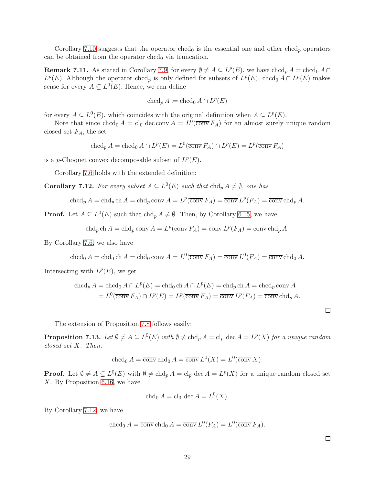Corollary [7.10](#page-27-2) suggests that the operator chcd<sub>0</sub> is the essential one and other chcd<sub>p</sub> operators can be obtained from the operator chcd $_0$  via truncation.

**Remark 7.11.** As stated in Corollary [7.9,](#page-27-1) for every  $\emptyset \neq A \subseteq L^p(E)$ , we have chcd<sub>p</sub>  $A = \text{chcd}_0 A \cap$  $L^p(E)$ . Although the operator chcd<sub>p</sub> is only defined for subsets of  $L^p(E)$ , chcd<sub>0</sub>  $A \cap L^p(E)$  makes sense for every  $A \subseteq L^0(E)$ . Hence, we can define

$$
\operatorname{chcd}_p A \coloneqq \operatorname{chcd}_0 A \cap L^p(E)
$$

for every  $A \subseteq L^0(E)$ , which coincides with the original definition when  $A \subseteq L^p(E)$ .

Note that since  $chcd_0 A = cl_0$  dec conv  $A = L^0(\overline{conv} F_A)$  for an almost surely unique random closed set  $F_A$ , the set

 $\operatorname{chcd}_p A = \operatorname{chcd}_0 A \cap L^p(E) = L^0(\overline{\operatorname{conv}} F_A) \cap L^p(E) = L^p(\overline{\operatorname{conv}} F_A)$ 

is a *p*-Choquet convex decomposable subset of  $L^p(E)$ .

Corollary [7.6](#page-26-2) holds with the extended definition:

<span id="page-28-0"></span>**Corollary 7.12.** For every subset  $A \subseteq L^0(E)$  such that  $\text{chd}_p A \neq \emptyset$ , one has

$$
\operatorname{chcd}_p A = \operatorname{chd}_p \operatorname{ch} A = \operatorname{chd}_p \operatorname{conv} A = L^p(\overline{\operatorname{conv}} F_A) = \overline{\operatorname{conv}} L^p(F_A) = \overline{\operatorname{conv}} \operatorname{chd}_p A.
$$

**Proof.** Let  $A \subseteq L^0(E)$  such that  $\text{chd}_p A \neq \emptyset$ . Then, by Corollary [6.15,](#page-22-0) we have

$$
\operatorname{chd}_p \operatorname{ch} A = \operatorname{chd}_p \operatorname{conv} A = L^p(\overline{\operatorname{conv}} F_A) = \overline{\operatorname{conv}} L^p(F_A) = \overline{\operatorname{conv}} \operatorname{chd}_p A.
$$

By Corollary [7.6,](#page-26-2) we also have

$$
\operatorname{chcd}_0 A = \operatorname{chd}_0 \operatorname{ch} A = \operatorname{chd}_0 \operatorname{conv} A = L^0(\overline{\operatorname{conv}} F_A) = \overline{\operatorname{conv}} L^0(F_A) = \overline{\operatorname{conv}} \operatorname{chd}_0 A.
$$

Intersecting with  $L^p(E)$ , we get

$$
\operatorname{chcd}_p A = \operatorname{chcd}_0 A \cap L^p(E) = \operatorname{chd}_0 \operatorname{ch} A \cap L^p(E) = \operatorname{chd}_p \operatorname{ch} A = \operatorname{chcd}_p \operatorname{conv} A
$$
  
=  $L^0(\overline{\operatorname{conv}} F_A) \cap L^p(E) = L^p(\overline{\operatorname{conv}} F_A) = \overline{\operatorname{conv}} L^p(F_A) = \overline{\operatorname{conv}} \operatorname{chd}_p A.$ 

The extension of Proposition [7.8](#page-27-0) follows easily:

**Proposition 7.13.** Let  $\emptyset \neq A \subseteq L^0(E)$  with  $\emptyset \neq \text{chd}_p A = \text{cl}_p \text{ dec } A = L^p(X)$  for a unique random closed set X. Then,

$$
\operatorname{chcd}_0 A = \overline{\operatorname{conv}} \operatorname{chd}_0 A = \overline{\operatorname{conv}} L^0(X) = L^0(\overline{\operatorname{conv}} X).
$$

**Proof.** Let  $\emptyset \neq A \subseteq L^0(E)$  with  $\emptyset \neq \text{chd}_p A = \text{cl}_p \text{ dec } A = L^p(X)$  for a unique random closed set X. By Proposition [6.16,](#page-23-2) we have

$$
\operatorname{chd}_0 A = \operatorname{cl}_0 \operatorname{dec} A = L^0(X).
$$

By Corollary [7.12,](#page-28-0) we have

$$
\operatorname{chcd}_0 A = \overline{\operatorname{conv}} \operatorname{chd}_0 A = \overline{\operatorname{conv}} L^0(F_A) = L^0(\overline{\operatorname{conv}} F_A).
$$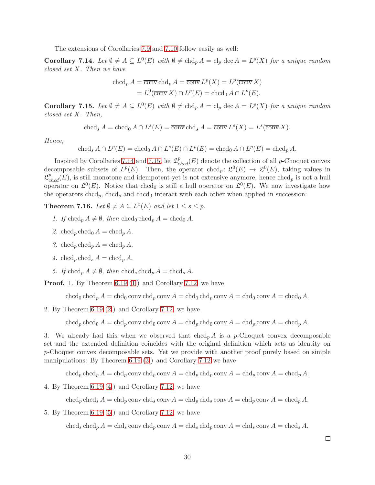The extensions of Corollaries [7.9](#page-27-1) and [7.10](#page-27-2) follow easily as well:

<span id="page-29-1"></span>**Corollary 7.14.** Let  $\emptyset \neq A \subseteq L^0(E)$  with  $\emptyset \neq \text{chd}_p A = \text{cl}_p \text{ dec } A = L^p(X)$  for a unique random closed set X. Then we have

$$
\operatorname{chcd}_p A = \overline{\operatorname{conv}} \operatorname{chd}_p A = \overline{\operatorname{conv}} L^p(X) = L^p(\overline{\operatorname{conv}} X)
$$

$$
= L^0(\overline{\operatorname{conv}} X) \cap L^p(E) = \operatorname{chcd}_0 A \cap L^p(E).
$$

<span id="page-29-2"></span>**Corollary 7.15.** Let  $\emptyset \neq A \subseteq L^0(E)$  with  $\emptyset \neq \text{chd}_p A = \text{cl}_p \text{ dec } A = L^p(X)$  for a unique random closed set X. Then,

chcd<sub>s</sub>  $A = \text{chcd}_0 A \cap L^s(E) = \overline{\text{conv}} \text{chd}_s A = \overline{\text{conv}} L^s(X) = L^s(\overline{\text{conv}} X).$ 

Hence,

 $\operatorname{chcd}_s A \cap L^p(E) = \operatorname{chcd}_0 A \cap L^s(E) \cap L^p(E) = \operatorname{chcd}_0 A \cap L^p(E) = \operatorname{chcd}_p A.$ 

Inspired by Corollaries [7.14](#page-29-1) and [7.15,](#page-29-2) let  $\mathcal{L}_{chcd}^p(E)$  denote the collection of all p-Choquet convex decomposable subsets of  $L^p(E)$ . Then, the operator chcd<sub>p</sub>:  $\mathfrak{L}^0(E) \to \mathfrak{L}^0(E)$ , taking values in  $\mathcal{L}^p_{chcd}(E)$ , is still monotone and idempotent yet is not extensive anymore, hence chcd<sub>p</sub> is not a hull operator on  $\mathfrak{L}^0(E)$ . Notice that chcd<sub>0</sub> is still a hull operator on  $\mathfrak{L}^0(E)$ . We now investigate how the operators chcd<sub>p</sub>, chcd<sub>s</sub> and chcd<sub>0</sub> interact with each other when applied in succession:

<span id="page-29-0"></span>**Theorem 7.16.** Let  $\emptyset \neq A \subseteq L^0(E)$  and let  $1 \leq s \leq p$ .

- 1. If  $\ch{c} \text{ch} \text{cd}_p A \neq \emptyset$ , then  $\ch{c} \text{ch} \text{cd}_p A = \ch{c} \text{ch} \text{cd}_0 A$ .
- 2. chcd<sub>p</sub> chcd<sub>0</sub>  $A = \text{chcd}_p A$ .
- 3. chcd<sub>p</sub> chcd<sub>p</sub>  $A = \text{chcd}_p A$ .
- 4. chcd<sub>p</sub> chcd<sub>s</sub>  $A = \text{chcd}_p A$ .
- 5. If  $chcd_n A \neq \emptyset$ , then  $chcd_s chcd_n A = chcd_s A$ .

Proof. 1. By Theorem [6.19](#page-24-0) [\(1.](#page-24-1)) and Corollary [7.12,](#page-28-0) we have

 $\ch{cd}_0 \ch{cd}_p A = \ch{d}_0 \text{conv } \ch{d}_p \text{conv } A = \ch{d}_0 \ch{d}_p \text{conv } A = \ch{d}_0 A$ .

2. By Theorem [6.19](#page-24-0) [\(2.](#page-24-2)) and Corollary [7.12,](#page-28-0) we have

chcd<sub>p</sub> chcd<sub>0</sub>  $A = chd_p$  conv chd<sub>0</sub> conv  $A = chd_p$  chd<sub>0</sub> conv  $A = chd_p$  conv  $A = chd_p A$ .

3. We already had this when we observed that  $ch \alpha_p A$  is a p-Choquet convex decomposable set and the extended definition coincides with the original definition which acts as identity on p-Choquet convex decomposable sets. Yet we provide with another proof purely based on simple manipulations: By Theorem [6.19](#page-24-0) [\(3.](#page-24-4)) and Corollary [7.12](#page-28-0) we have

 $\ch{c}c h c d_p A = \ch{d}_p \operatorname{conv} \ch{d}_p \operatorname{conv} A = \ch{d}_p \operatorname{ch{d}_p} \operatorname{conv} A = \ch{d}_p \operatorname{conv} A = \ch{d}_p A$ .

4. By Theorem [6.19](#page-24-0) [\(4.](#page-24-5)) and Corollary [7.12,](#page-28-0) we have

 $\ch{c}c h c d_p \ch{c}c h d_s A = \ch{d}_p \operatorname{conv} \ch{d}_s \operatorname{conv} A = \ch{d}_p \th{c}c h d_p \operatorname{conv} A = \ch{d}_p A.$ 

5. By Theorem [6.19](#page-24-0) [\(5.](#page-24-3)) and Corollary [7.12,](#page-28-0) we have

chcd<sub>s</sub> chcd<sub>p</sub>  $A = chd_s$  conv chd<sub>p</sub> conv  $A = chd_s$  chd<sub>p</sub> conv  $A = chd_s$  conv  $A = chd_s A$ .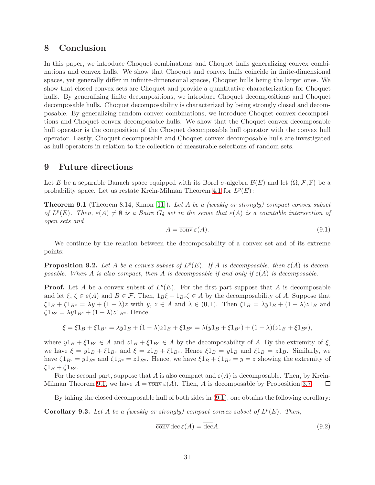## <span id="page-30-0"></span>8 Conclusion

In this paper, we introduce Choquet combinations and Choquet hulls generalizing convex combinations and convex hulls. We show that Choquet and convex hulls coincide in finite-dimensional spaces, yet generally differ in infinite-dimensional spaces, Choquet hulls being the larger ones. We show that closed convex sets are Choquet and provide a quantitative characterization for Choquet hulls. By generalizing finite decompositions, we introduce Choquet decompositions and Choquet decomposable hulls. Choquet decomposability is characterized by being strongly closed and decomposable. By generalizing random convex combinations, we introduce Choquet convex decompositions and Choquet convex decomposable hulls. We show that the Choquet convex decomposable hull operator is the composition of the Choquet decomposable hull operator with the convex hull operator. Lastly, Choquet decomposable and Choquet convex decomposable hulls are investigated as hull operators in relation to the collection of measurable selections of random sets.

## <span id="page-30-1"></span>9 Future directions

Let E be a separable Banach space equipped with its Borel  $\sigma$ -algebra  $\mathcal{B}(E)$  and let  $(\Omega, \mathcal{F}, \mathbb{P})$  be a probability space. Let us restate Krein-Milman Theorem [4.1](#page-12-1) for  $L^p(E)$ :

<span id="page-30-2"></span>**Theorem 9.1** (Theorem 8.14, Simon [\[11\]](#page-34-8)). Let A be a (weakly or strongly) compact convex subset of  $L^p(E)$ . Then,  $\varepsilon(A) \neq \emptyset$  is a Baire  $G_\delta$  set in the sense that  $\varepsilon(A)$  is a countable intersection of open sets and

<span id="page-30-3"></span>
$$
A = \overline{\text{conv}} \,\varepsilon(A). \tag{9.1}
$$

We continue by the relation between the decomposability of a convex set and of its extreme points:

<span id="page-30-4"></span>**Proposition 9.2.** Let A be a convex subset of  $L^p(E)$ . If A is decomposable, then  $\varepsilon(A)$  is decomposable. When A is also compact, then A is decomposable if and only if  $\varepsilon(A)$  is decomposable.

**Proof.** Let A be a convex subset of  $L^p(E)$ . For the first part suppose that A is decomposable and let  $\xi, \zeta \in \varepsilon(A)$  and  $B \in \mathcal{F}$ . Then,  $1_B \xi + 1_{B^c} \zeta \in A$  by the decomposability of A. Suppose that  $\xi 1_B + \zeta 1_{B^c} = \lambda y + (1 - \lambda)z$  with  $y, z \in A$  and  $\lambda \in (0, 1)$ . Then  $\xi 1_B = \lambda y 1_B + (1 - \lambda)z 1_B$  and  $\zeta 1_{B^c} = \lambda y 1_{B^c} + (1 - \lambda) z 1_{B^c}$ . Hence,

$$
\xi = \xi 1_B + \xi 1_{B^c} = \lambda y 1_B + (1 - \lambda) z 1_B + \xi 1_{B^c} = \lambda (y 1_B + \xi 1_{B^c}) + (1 - \lambda) (z 1_B + \xi 1_{B^c}),
$$

where  $y1_B + \xi 1_{B^c} \in A$  and  $z1_B + \xi 1_{B^c} \in A$  by the decomposability of A. By the extremity of  $\xi$ , we have  $\xi = y1_B + \xi 1_{B^c}$  and  $\xi = z1_B + \xi 1_{B^c}$ . Hence  $\xi 1_B = y1_B$  and  $\xi 1_B = z1_B$ . Similarly, we have  $\zeta 1_{B^c} = y 1_{B^c}$  and  $\zeta 1_{B^c} = z 1_{B^c}$ . Hence, we have  $\xi 1_B + \zeta 1_{B^c} = y = z$  showing the extremity of  $\xi 1_B + \zeta 1_{B^c}$ .

For the second part, suppose that A is also compact and  $\varepsilon(A)$  is decomposable. Then, by Krein-Milman Theorem [9.1,](#page-30-2) we have  $A = \overline{\text{conv}} \varepsilon(A)$ . Then, A is decomposable by Proposition [3.7.](#page-8-5) □

By taking the closed decomposable hull of both sides in [\(9.1\)](#page-30-3), one obtains the following corollary:

<span id="page-30-6"></span>**Corollary 9.3.** Let A be a (weakly or strongly) compact convex subset of  $L^p(E)$ . Then,

<span id="page-30-5"></span>
$$
\overline{\text{conv}}\,\text{dec}\,\varepsilon(A) = \overline{\text{dec}}A. \tag{9.2}
$$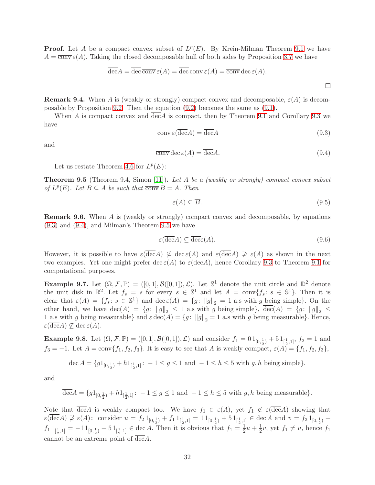**Proof.** Let A be a compact convex subset of  $L^p(E)$ . By Krein-Milman Theorem [9.1](#page-30-2) we have  $A = \overline{\text{conv}} \varepsilon(A)$ . Taking the closed decomposable hull of both sides by Proposition [3.7](#page-8-5) we have

$$
\overline{\text{dec}}A = \overline{\text{dec}} \,\overline{\text{conv}} \,\varepsilon(A) = \overline{\text{dec}} \,\text{conv}\,\varepsilon(A) = \overline{\text{conv}} \,\text{dec}\,\varepsilon(A).
$$

 $\Box$ 

<span id="page-31-3"></span>**Remark 9.4.** When A is (weakly or strongly) compact convex and decomposable,  $\varepsilon(A)$  is decomposable by Proposition [9.2.](#page-30-4) Then the equation [\(9.2\)](#page-30-5) becomes the same as [\(9.1\)](#page-30-3).

When A is compact convex and  $\text{dec}A$  is compact, then by Theorem [9.1](#page-30-2) and Corollary [9.3](#page-30-6) we have

<span id="page-31-0"></span>
$$
\overline{\text{conv}}\,\varepsilon(\overline{\text{dec}}A) = \overline{\text{dec}}A\tag{9.3}
$$

and

<span id="page-31-1"></span>
$$
\overline{\text{conv}}\,\text{dec}\,\varepsilon(A) = \overline{\text{dec}}A. \tag{9.4}
$$

Let us restate Theorem [4.6](#page-14-2) for  $L^p(E)$ :

<span id="page-31-2"></span>Theorem 9.5 (Theorem 9.4, Simon [\[11\]](#page-34-8)). Let A be a (weakly or strongly) compact convex subset of  $L^p(E)$ . Let  $B \subseteq A$  be such that  $\overline{conv} B = A$ . Then

$$
\varepsilon(A) \subseteq \overline{B}.\tag{9.5}
$$

Remark 9.6. When A is (weakly or strongly) compact convex and decomposable, by equations [\(9.3\)](#page-31-0) and [\(9.4\)](#page-31-1), and Milman's Theorem [9.5](#page-31-2) we have

$$
\varepsilon(\overline{\text{dec}}A) \subseteq \overline{\text{dec}}(A). \tag{9.6}
$$

However, it is possible to have  $\varepsilon(\overline{\text{dec}}A) \nsubseteq \text{dec}\,\varepsilon(A)$  and  $\varepsilon(\overline{\text{dec}}A) \nsubseteq \varepsilon(A)$  as shown in the next two examples. Yet one might prefer  $\text{dec}\,\varepsilon(A)$  to  $\varepsilon(\overline{\text{dec}}A)$ , hence Corollary [9.3](#page-30-6) to Theorem [9.1](#page-30-2) for computational purposes.

**Example 9.7.** Let  $(\Omega, \mathcal{F}, \mathbb{P}) = ([0, 1], \mathcal{B}([0, 1]), \mathcal{L})$ . Let  $\mathbb{S}^1$  denote the unit circle and  $\mathbb{D}^2$  denote the unit disk in  $\mathbb{R}^2$ . Let  $f_s = s$  for every  $s \in \mathbb{S}^1$  and let  $A = \text{conv}\{f_s : s \in \mathbb{S}^1\}$ . Then it is clear that  $\varepsilon(A) = \{f_s : s \in \mathbb{S}^1\}$  and  $\text{dec } \varepsilon(A) = \{g : ||g||_2 = 1 \text{ a.s with } g \text{ being simple}\}.$  On the other hand, we have  $\text{dec}(A) = \{g: ||g||_2 \leq 1 \text{ a.s with } g \text{ being simple}\}, \overline{\text{dec}}(A) = \{g: ||g||_2 \leq 1 \text{ a.s. } g \text{ is the same value of } g \text{ is the same value of } g \text{ is the same value of } g \text{ is the same value of } g \text{ is the same value of } g \text{ is the same value of } g \text{ is the same value of } g \text{ is the same value of } g \text{ is the same value of } g \text{ is the same value of } g \text{ is the same value of } g \text{ is the same value of } g \text{ is the same value of }$ 1 a.s with g being measurable} and  $\varepsilon \text{dec}(A) = \{g: ||g||_2 = 1$  a.s with g being measurable}. Hence,  $\varepsilon(\text{dec}A) \nsubseteq \text{dec}\,\varepsilon(A).$ 

**Example 9.8.** Let  $(\Omega, \mathcal{F}, \mathbb{P}) = ([0, 1], \mathcal{B}([0, 1]), \mathcal{L})$  and consider  $f_1 = 01_{[0, \frac{1}{2})} + 51_{[\frac{1}{2}, 1]}, f_2 = 1$  and  $f_3 = -1$ . Let  $A = \text{conv}\{f_1, f_2, f_3\}$ . It is easy to see that A is weakly compact,  $\varepsilon(A) = \{f_1, f_2, f_3\}$ ,

$$
\operatorname{dec} A = \{ g1_{[0, \frac{1}{2})} + h1_{[\frac{1}{2}, 1]} : -1 \le g \le 1 \text{ and } -1 \le h \le 5 \text{ with } g, h \text{ being simple} \},
$$

and

$$
\overline{\text{dec}}A = \{g1_{[0,\frac{1}{2})} + h1_{[\frac{1}{2},1]}: -1 \le g \le 1 \text{ and } -1 \le h \le 5 \text{ with } g, h \text{ being measurable}\}.
$$

Note that  $\overline{\text{dec}}A$  is weakly compact too. We have  $f_1 \in \varepsilon(A)$ , yet  $f_1 \notin \varepsilon(\overline{\text{dec}}A)$  showing that  $\varepsilon(\text{dec}A) \not\supseteq \varepsilon(A)$ : consider  $u = f_2 1_{[0, \frac{1}{2})} + f_1 1_{[\frac{1}{2}, 1]} = 1 1_{[0, \frac{1}{2})} + 5 1_{[\frac{1}{2}, 1]} \in \text{dec }A$  and  $v = f_3 1_{[0, \frac{1}{2})} +$  $f_1 1_{\left[\frac{1}{2},1\right]} = -11_{\left[0,\frac{1}{2}\right)} + 51_{\left[\frac{1}{2},1\right]} \in \text{dec } A.$  Then it is obvious that  $f_1 = \frac{1}{2}u + \frac{1}{2}v$ , yet  $f_1 \neq u$ , hence  $f_1$ cannot be an extreme point of  $\overline{\text{dec}}A$ .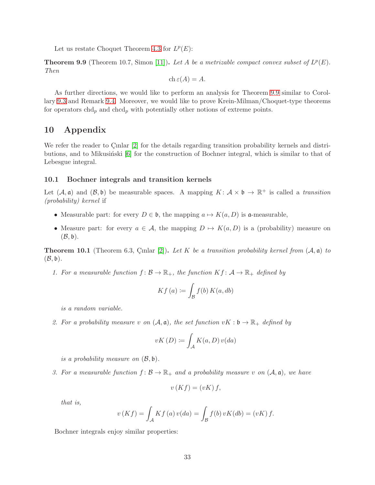Let us restate Choquet Theorem [4.3](#page-13-1) for  $L^p(E)$ :

<span id="page-32-1"></span>**Theorem 9.9** (Theorem 10.7, Simon [\[11\]](#page-34-8)). Let A be a metrizable compact convex subset of  $L^p(E)$ . Then

$$
ch \varepsilon(A) = A.
$$

As further directions, we would like to perform an analysis for Theorem [9.9](#page-32-1) similar to Corollary [9.3](#page-30-6) and Remark [9.4.](#page-31-3) Moreover, we would like to prove Krein-Milman/Choquet-type theorems for operators  $chd_p$  and  $chcd_p$  with potentially other notions of extreme points.

## <span id="page-32-0"></span>10 Appendix

We refer the reader to Cinlar [\[2\]](#page-34-11) for the details regarding transition probability kernels and distri-butions, and to Mikusinski [\[6\]](#page-34-5) for the construction of Bochner integral, which is similar to that of Lebesgue integral.

### 10.1 Bochner integrals and transition kernels

Let  $(A, \mathfrak{a})$  and  $(B, \mathfrak{b})$  be measurable spaces. A mapping  $K : \mathcal{A} \times \mathfrak{b} \to \mathbb{R}^+$  is called a transition (probability) kernel if

- Measurable part: for every  $D \in \mathfrak{b}$ , the mapping  $a \mapsto K(a, D)$  is a-measurable,
- Measure part: for every  $a \in \mathcal{A}$ , the mapping  $D \mapsto K(a, D)$  is a (probability) measure on  $(\mathcal{B}, \mathfrak{b}).$

<span id="page-32-2"></span>**Theorem 10.1** (Theorem 6.3, Cinlar [\[2\]](#page-34-11)). Let K be a transition probability kernel from  $(A, \mathfrak{a})$  to  $(\mathcal{B}, \mathfrak{b}).$ 

1. For a measurable function  $f: \mathcal{B} \to \mathbb{R}_+$ , the function  $Kf: \mathcal{A} \to \mathbb{R}_+$  defined by

$$
Kf\left(a\right) := \int_{\mathcal{B}} f(b) \, K(a, db)
$$

is a random variable.

2. For a probability measure v on  $(A, \mathfrak{a})$ , the set function  $vK : \mathfrak{b} \to \mathbb{R}_+$  defined by

$$
vK(D) := \int_{\mathcal{A}} K(a, D) v(da)
$$

is a probability measure on  $(\mathcal{B}, \mathfrak{b})$ .

3. For a measurable function  $f: \mathcal{B} \to \mathbb{R}_+$  and a probability measure v on  $(\mathcal{A}, \mathfrak{a})$ , we have

$$
v(Kf) = (vK) f,
$$

that is,

$$
v(Kf) = \int_{\mathcal{A}} Kf(a)v(da) = \int_{\mathcal{B}} f(b)vK(db) = (vK) f.
$$

Bochner integrals enjoy similar properties: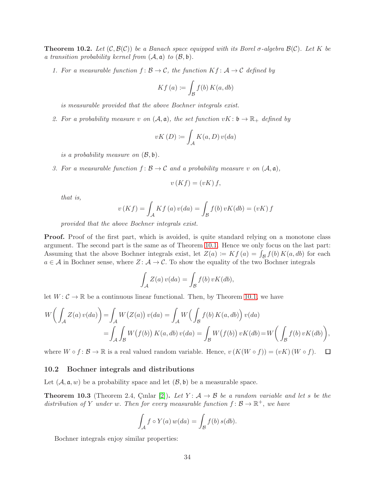<span id="page-33-0"></span>**Theorem 10.2.** Let  $(C, \mathcal{B}(C))$  be a Banach space equipped with its Borel  $\sigma$ -algebra  $\mathcal{B}(C)$ . Let K be a transition probability kernel from  $(A, \mathfrak{a})$  to  $(B, \mathfrak{b})$ .

1. For a measurable function  $f: \mathcal{B} \to \mathcal{C}$ , the function  $Kf: \mathcal{A} \to \mathcal{C}$  defined by

$$
Kf\left(a\right) := \int_{\mathcal{B}} f(b) \, K(a, db)
$$

is measurable provided that the above Bochner integrals exist.

2. For a probability measure v on  $(A, \mathfrak{a})$ , the set function  $vK: \mathfrak{b} \to \mathbb{R}_+$  defined by

$$
vK(D) := \int_{\mathcal{A}} K(a, D) v(da)
$$

is a probability measure on  $(\mathcal{B}, \mathfrak{b})$ .

3. For a measurable function  $f: \mathcal{B} \to \mathcal{C}$  and a probability measure v on  $(\mathcal{A}, \mathfrak{a})$ ,

$$
v(Kf) = (vK) f,
$$

that is,

$$
v(Kf) = \int_{\mathcal{A}} Kf(a)v(da) = \int_{\mathcal{B}} f(b)vK(db) = (vK) f
$$

provided that the above Bochner integrals exist.

**Proof.** Proof of the first part, which is avoided, is quite standard relying on a monotone class argument. The second part is the same as of Theorem [10.1.](#page-32-2) Hence we only focus on the last part: Assuming that the above Bochner integrals exist, let  $Z(a) := Kf(a) = \int_{\mathcal{B}} f(b) K(a, db)$  for each  $a \in \mathcal{A}$  in Bochner sense, where  $Z: \mathcal{A} \to \mathcal{C}$ . To show the equality of the two Bochner integrals

$$
\int_{A} Z(a) v(da) = \int_{B} f(b) vK(db),
$$

let  $W: \mathcal{C} \to \mathbb{R}$  be a continuous linear functional. Then, by Theorem [10.1,](#page-32-2) we have

$$
W\left(\int_{\mathcal{A}} Z(a) v(da)\right) = \int_{\mathcal{A}} W\left(Z(a)\right) v(da) = \int_{\mathcal{A}} W\left(\int_{\mathcal{B}} f(b) K(a, db)\right) v(da)
$$
  
= 
$$
\int_{\mathcal{A}} \int_{\mathcal{B}} W\left(f(b)\right) K(a, db) v(da) = \int_{\mathcal{B}} W\left(f(b)\right) vK(db) = W\left(\int_{\mathcal{B}} f(b) vK(db)\right),
$$

where  $W \circ f : \mathcal{B} \to \mathbb{R}$  is a real valued random variable. Hence,  $v(K(W \circ f)) = (vK)(W \circ f)$ .  $\Box$ 

#### 10.2 Bochner integrals and distributions

Let  $(A, \mathfrak{a}, w)$  be a probability space and let  $(\mathcal{B}, \mathfrak{b})$  be a measurable space.

<span id="page-33-1"></span>**Theorem 10.3** (Theorem 2.4, Cinlar [\[2\]](#page-34-11)). Let  $Y: A \rightarrow B$  be a random variable and let s be the distribution of Y under w. Then for every measurable function  $f: \mathcal{B} \to \mathbb{R}^+$ , we have

$$
\int_{\mathcal{A}} f \circ Y(a) w(da) = \int_{\mathcal{B}} f(b) s(db).
$$

Bochner integrals enjoy similar properties: